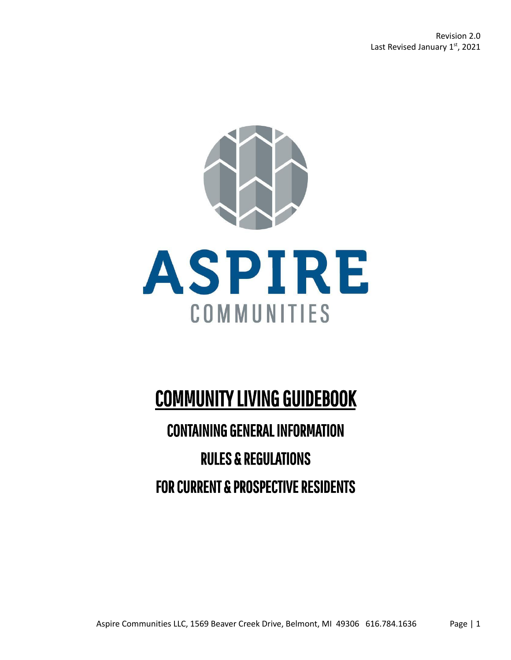

# COMMUNITY LIVING GUIDEBOOK

# CONTAINING GENERALINFORMATION RULES & REGULATIONS FOR CURRENT & PROSPECTIVE RESIDENTS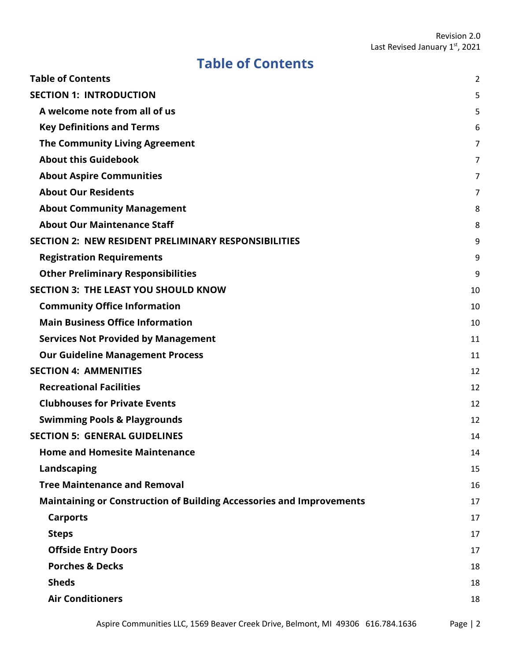# **Table of Contents**

<span id="page-1-0"></span>

| <b>Table of Contents</b>                                                    | $\overline{2}$ |
|-----------------------------------------------------------------------------|----------------|
| <b>SECTION 1: INTRODUCTION</b>                                              | 5              |
| A welcome note from all of us                                               | 5              |
| <b>Key Definitions and Terms</b>                                            | 6              |
| <b>The Community Living Agreement</b>                                       | 7              |
| <b>About this Guidebook</b>                                                 | $\overline{7}$ |
| <b>About Aspire Communities</b>                                             | 7              |
| <b>About Our Residents</b>                                                  | 7              |
| <b>About Community Management</b>                                           | 8              |
| <b>About Our Maintenance Staff</b>                                          | 8              |
| <b>SECTION 2: NEW RESIDENT PRELIMINARY RESPONSIBILITIES</b>                 | 9              |
| <b>Registration Requirements</b>                                            | 9              |
| <b>Other Preliminary Responsibilities</b>                                   | 9              |
| <b>SECTION 3: THE LEAST YOU SHOULD KNOW</b>                                 | 10             |
| <b>Community Office Information</b>                                         | 10             |
| <b>Main Business Office Information</b>                                     | 10             |
| <b>Services Not Provided by Management</b>                                  | 11             |
| <b>Our Guideline Management Process</b>                                     | 11             |
| <b>SECTION 4: AMMENITIES</b>                                                | 12             |
| <b>Recreational Facilities</b>                                              | 12             |
| <b>Clubhouses for Private Events</b>                                        | 12             |
| <b>Swimming Pools &amp; Playgrounds</b>                                     | 12             |
| <b>SECTION 5: GENERAL GUIDELINES</b>                                        | 14             |
| <b>Home and Homesite Maintenance</b>                                        | 14             |
| Landscaping                                                                 | 15             |
| <b>Tree Maintenance and Removal</b>                                         | 16             |
| <b>Maintaining or Construction of Building Accessories and Improvements</b> | 17             |
| <b>Carports</b>                                                             | 17             |
| <b>Steps</b>                                                                | 17             |
| <b>Offside Entry Doors</b>                                                  | 17             |
| <b>Porches &amp; Decks</b>                                                  | 18             |
| <b>Sheds</b>                                                                | 18             |
| <b>Air Conditioners</b>                                                     | 18             |
|                                                                             |                |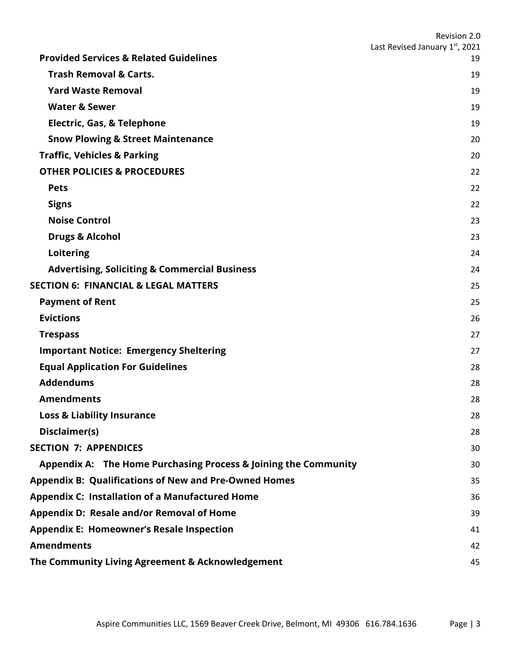Revision 2.0

|                                                                 | Last Revised January 1st, 2021 |
|-----------------------------------------------------------------|--------------------------------|
| <b>Provided Services &amp; Related Guidelines</b>               | 19                             |
| <b>Trash Removal &amp; Carts.</b>                               | 19                             |
| <b>Yard Waste Removal</b>                                       | 19                             |
| <b>Water &amp; Sewer</b>                                        | 19                             |
| <b>Electric, Gas, &amp; Telephone</b>                           | 19                             |
| <b>Snow Plowing &amp; Street Maintenance</b>                    | 20                             |
| <b>Traffic, Vehicles &amp; Parking</b>                          | 20                             |
| <b>OTHER POLICIES &amp; PROCEDURES</b>                          | 22                             |
| <b>Pets</b>                                                     | 22                             |
| <b>Signs</b>                                                    | 22                             |
| <b>Noise Control</b>                                            | 23                             |
| <b>Drugs &amp; Alcohol</b>                                      | 23                             |
| Loitering                                                       | 24                             |
| <b>Advertising, Soliciting &amp; Commercial Business</b>        | 24                             |
| <b>SECTION 6: FINANCIAL &amp; LEGAL MATTERS</b>                 | 25                             |
| <b>Payment of Rent</b>                                          | 25                             |
| <b>Evictions</b>                                                | 26                             |
| <b>Trespass</b>                                                 | 27                             |
| <b>Important Notice: Emergency Sheltering</b>                   | 27                             |
| <b>Equal Application For Guidelines</b>                         | 28                             |
| <b>Addendums</b>                                                | 28                             |
| <b>Amendments</b>                                               | 28                             |
| <b>Loss &amp; Liability Insurance</b>                           | 28                             |
| Disclaimer(s)                                                   | 28                             |
| <b>SECTION 7: APPENDICES</b>                                    | 30                             |
| Appendix A: The Home Purchasing Process & Joining the Community | 30                             |
| <b>Appendix B: Qualifications of New and Pre-Owned Homes</b>    | 35                             |
| <b>Appendix C: Installation of a Manufactured Home</b>          | 36                             |
| <b>Appendix D: Resale and/or Removal of Home</b>                | 39                             |
| <b>Appendix E: Homeowner's Resale Inspection</b>                | 41                             |
| <b>Amendments</b>                                               | 42                             |
| The Community Living Agreement & Acknowledgement                | 45                             |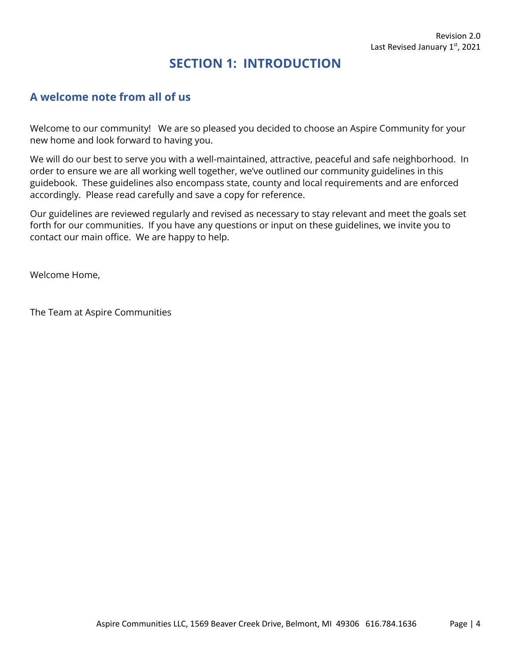# **SECTION 1: INTRODUCTION**

### <span id="page-3-1"></span><span id="page-3-0"></span>**A welcome note from all of us**

Welcome to our community! We are so pleased you decided to choose an Aspire Community for your new home and look forward to having you.

We will do our best to serve you with a well-maintained, attractive, peaceful and safe neighborhood. In order to ensure we are all working well together, we've outlined our community guidelines in this guidebook. These guidelines also encompass state, county and local requirements and are enforced accordingly. Please read carefully and save a copy for reference.

Our guidelines are reviewed regularly and revised as necessary to stay relevant and meet the goals set forth for our communities. If you have any questions or input on these guidelines, we invite you to contact our main office. We are happy to help.

Welcome Home,

The Team at Aspire Communities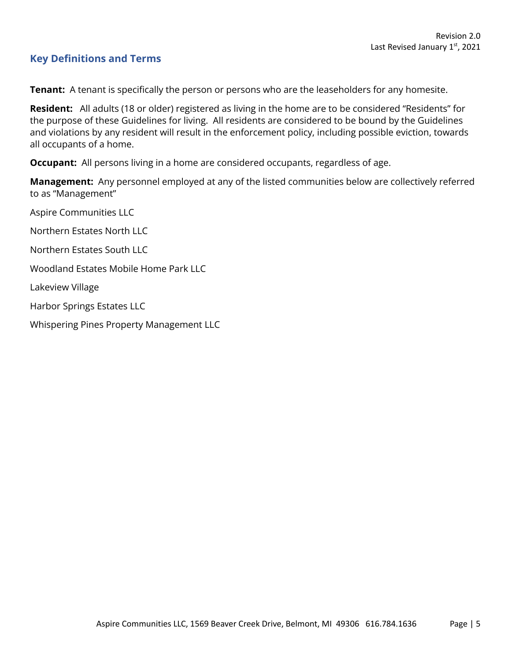#### <span id="page-4-0"></span>**Key Definitions and Terms**

**Tenant:** A tenant is specifically the person or persons who are the leaseholders for any homesite.

**Resident:** All adults (18 or older) registered as living in the home are to be considered "Residents" for the purpose of these Guidelines for living. All residents are considered to be bound by the Guidelines and violations by any resident will result in the enforcement policy, including possible eviction, towards all occupants of a home.

**Occupant:** All persons living in a home are considered occupants, regardless of age.

**Management:** Any personnel employed at any of the listed communities below are collectively referred to as "Management"

Aspire Communities LLC

Northern Estates North LLC

Northern Estates South LLC

Woodland Estates Mobile Home Park LLC

Lakeview Village

Harbor Springs Estates LLC

Whispering Pines Property Management LLC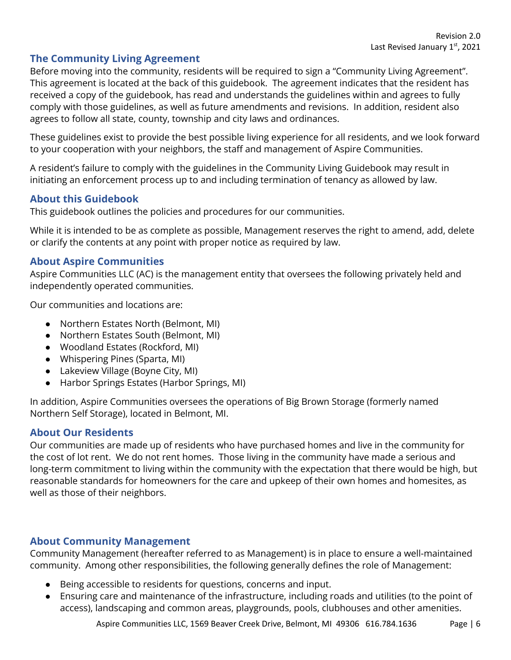#### <span id="page-5-0"></span>**The Community Living Agreement**

Before moving into the community, residents will be required to sign a "Community Living Agreement". This agreement is located at the back of this guidebook. The agreement indicates that the resident has received a copy of the guidebook, has read and understands the guidelines within and agrees to fully comply with those guidelines, as well as future amendments and revisions. In addition, resident also agrees to follow all state, county, township and city laws and ordinances.

These guidelines exist to provide the best possible living experience for all residents, and we look forward to your cooperation with your neighbors, the staff and management of Aspire Communities.

A resident's failure to comply with the guidelines in the Community Living Guidebook may result in initiating an enforcement process up to and including termination of tenancy as allowed by law.

#### <span id="page-5-1"></span>**About this Guidebook**

This guidebook outlines the policies and procedures for our communities.

While it is intended to be as complete as possible, Management reserves the right to amend, add, delete or clarify the contents at any point with proper notice as required by law.

#### <span id="page-5-2"></span>**About Aspire Communities**

Aspire Communities LLC (AC) is the management entity that oversees the following privately held and independently operated communities.

Our communities and locations are:

- Northern Estates North (Belmont, MI)
- Northern Estates South (Belmont, MI)
- Woodland Estates (Rockford, MI)
- Whispering Pines (Sparta, MI)
- Lakeview Village (Boyne City, MI)
- Harbor Springs Estates (Harbor Springs, MI)

In addition, Aspire Communities oversees the operations of Big Brown Storage (formerly named Northern Self Storage), located in Belmont, MI.

#### <span id="page-5-3"></span>**About Our Residents**

Our communities are made up of residents who have purchased homes and live in the community for the cost of lot rent. We do not rent homes. Those living in the community have made a serious and long-term commitment to living within the community with the expectation that there would be high, but reasonable standards for homeowners for the care and upkeep of their own homes and homesites, as well as those of their neighbors.

#### <span id="page-5-4"></span>**About Community Management**

Community Management (hereafter referred to as Management) is in place to ensure a well-maintained community. Among other responsibilities, the following generally defines the role of Management:

- Being accessible to residents for questions, concerns and input.
- Ensuring care and maintenance of the infrastructure, including roads and utilities (to the point of access), landscaping and common areas, playgrounds, pools, clubhouses and other amenities.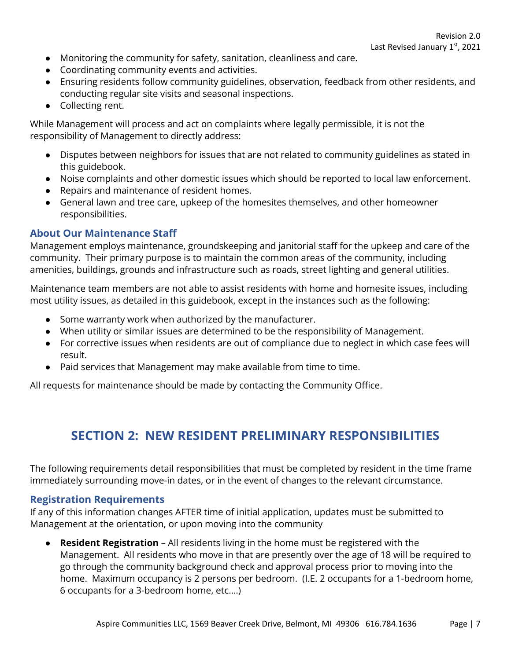- Monitoring the community for safety, sanitation, cleanliness and care.
- Coordinating community events and activities.
- Ensuring residents follow community guidelines, observation, feedback from other residents, and conducting regular site visits and seasonal inspections.
- Collecting rent.

While Management will process and act on complaints where legally permissible, it is not the responsibility of Management to directly address:

- Disputes between neighbors for issues that are not related to community guidelines as stated in this guidebook.
- Noise complaints and other domestic issues which should be reported to local law enforcement.
- Repairs and maintenance of resident homes.
- General lawn and tree care, upkeep of the homesites themselves, and other homeowner responsibilities.

#### <span id="page-6-0"></span>**About Our Maintenance Staff**

Management employs maintenance, groundskeeping and janitorial staff for the upkeep and care of the community. Their primary purpose is to maintain the common areas of the community, including amenities, buildings, grounds and infrastructure such as roads, street lighting and general utilities.

Maintenance team members are not able to assist residents with home and homesite issues, including most utility issues, as detailed in this guidebook, except in the instances such as the following:

- Some warranty work when authorized by the manufacturer.
- When utility or similar issues are determined to be the responsibility of Management.
- For corrective issues when residents are out of compliance due to neglect in which case fees will result.
- Paid services that Management may make available from time to time.

<span id="page-6-1"></span>All requests for maintenance should be made by contacting the Community Office.

# **SECTION 2: NEW RESIDENT PRELIMINARY RESPONSIBILITIES**

The following requirements detail responsibilities that must be completed by resident in the time frame immediately surrounding move-in dates, or in the event of changes to the relevant circumstance.

#### <span id="page-6-2"></span>**Registration Requirements**

If any of this information changes AFTER time of initial application, updates must be submitted to Management at the orientation, or upon moving into the community

**Resident Registration** – All residents living in the home must be registered with the Management. All residents who move in that are presently over the age of 18 will be required to go through the community background check and approval process prior to moving into the home. Maximum occupancy is 2 persons per bedroom. (I.E. 2 occupants for a 1-bedroom home, 6 occupants for a 3-bedroom home, etc….)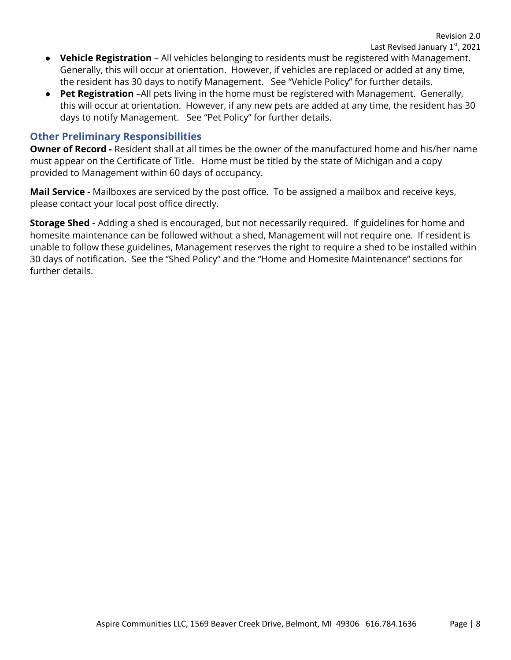- **● Vehicle Registration** All vehicles belonging to residents must be registered with Management. Generally, this will occur at orientation. However, if vehicles are replaced or added at any time, the resident has 30 days to notify Management. See "Vehicle Policy" for further details.
- **● Pet Registration** –All pets living in the home must be registered with Management. Generally, this will occur at orientation. However, if any new pets are added at any time, the resident has 30 days to notify Management. See "Pet Policy" for further details.

#### <span id="page-7-0"></span>**Other Preliminary Responsibilities**

**Owner of Record -** Resident shall at all times be the owner of the manufactured home and his/her name must appear on the Certificate of Title. Home must be titled by the state of Michigan and a copy provided to Management within 60 days of occupancy.

**Mail Service -** Mailboxes are serviced by the post office. To be assigned a mailbox and receive keys, please contact your local post office directly.

**Storage Shed** - Adding a shed is encouraged, but not necessarily required. If guidelines for home and homesite maintenance can be followed without a shed, Management will not require one. If resident is unable to follow these guidelines, Management reserves the right to require a shed to be installed within 30 days of notification. See the "Shed Policy" and the "Home and Homesite Maintenance" sections for further details.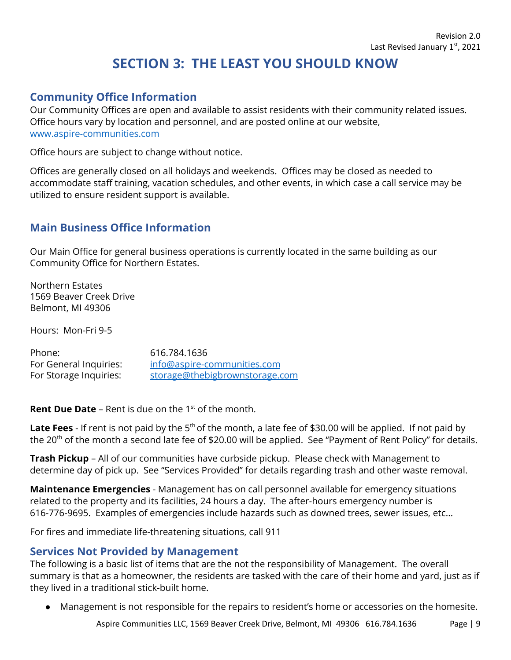# **SECTION 3: THE LEAST YOU SHOULD KNOW**

#### <span id="page-8-1"></span><span id="page-8-0"></span>**Community Office Information**

Our Community Offices are open and available to assist residents with their community related issues. Office hours vary by location and personnel, and are posted online at our website, [www.aspire-communities.com](http://www.aspire-communities.com)

Office hours are subject to change without notice.

Offices are generally closed on all holidays and weekends. Offices may be closed as needed to accommodate staff training, vacation schedules, and other events, in which case a call service may be utilized to ensure resident support is available.

### <span id="page-8-2"></span>**Main Business Office Information**

Our Main Office for general business operations is currently located in the same building as our Community Office for Northern Estates.

Northern Estates 1569 Beaver Creek Drive Belmont, MI 49306

Hours: Mon-Fri 9-5

| Phone:                 | 616.784.1636                   |
|------------------------|--------------------------------|
| For General Inquiries: | info@aspire-communities.com    |
| For Storage Inquiries: | storage@thebigbrownstorage.com |

**Rent Due Date** - Rent is due on the 1<sup>st</sup> of the month.

Late Fees - If rent is not paid by the 5<sup>th</sup> of the month, a late fee of \$30.00 will be applied. If not paid by the 20 th of the month a second late fee of \$20.00 will be applied. See "Payment of Rent Policy" for details.

**Trash Pickup** – All of our communities have curbside pickup. Please check with Management to determine day of pick up. See "Services Provided" for details regarding trash and other waste removal.

**Maintenance Emergencies** - Management has on call personnel available for emergency situations related to the property and its facilities, 24 hours a day. The after-hours emergency number is 616-776-9695. Examples of emergencies include hazards such as downed trees, sewer issues, etc...

For fires and immediate life-threatening situations, call 911

#### <span id="page-8-3"></span>**Services Not Provided by Management**

The following is a basic list of items that are the not the responsibility of Management. The overall summary is that as a homeowner, the residents are tasked with the care of their home and yard, just as if they lived in a traditional stick-built home.

**●** Management is not responsible for the repairs to resident's home or accessories on the homesite.

Aspire Communities LLC, 1569 Beaver Creek Drive, Belmont, MI 49306 616.784.1636 Page | 9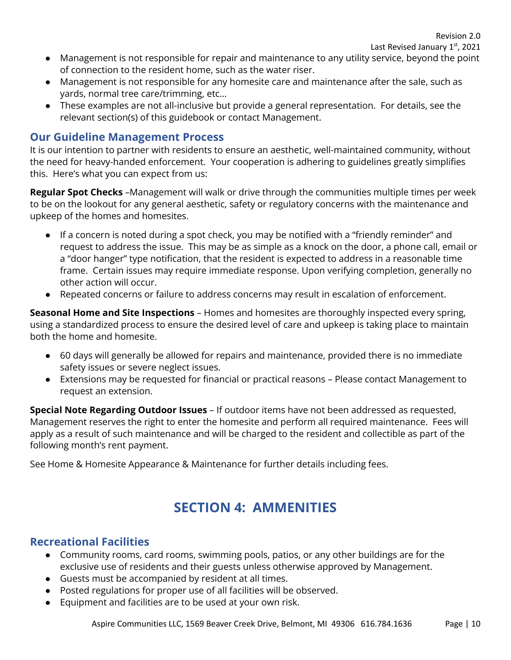- **●** Management is not responsible for repair and maintenance to any utility service, beyond the point of connection to the resident home, such as the water riser.
- **●** Management is not responsible for any homesite care and maintenance after the sale, such as yards, normal tree care/trimming, etc…
- **●** These examples are not all-inclusive but provide a general representation. For details, see the relevant section(s) of this guidebook or contact Management.

### <span id="page-9-0"></span>**Our Guideline Management Process**

It is our intention to partner with residents to ensure an aesthetic, well-maintained community, without the need for heavy-handed enforcement. Your cooperation is adhering to guidelines greatly simplifies this. Here's what you can expect from us:

**Regular Spot Checks** –Management will walk or drive through the communities multiple times per week to be on the lookout for any general aesthetic, safety or regulatory concerns with the maintenance and upkeep of the homes and homesites.

- If a concern is noted during a spot check, you may be notified with a "friendly reminder" and request to address the issue. This may be as simple as a knock on the door, a phone call, email or a "door hanger" type notification, that the resident is expected to address in a reasonable time frame. Certain issues may require immediate response. Upon verifying completion, generally no other action will occur.
- Repeated concerns or failure to address concerns may result in escalation of enforcement.

**Seasonal Home and Site Inspections** – Homes and homesites are thoroughly inspected every spring, using a standardized process to ensure the desired level of care and upkeep is taking place to maintain both the home and homesite.

- 60 days will generally be allowed for repairs and maintenance, provided there is no immediate safety issues or severe neglect issues.
- Extensions may be requested for financial or practical reasons Please contact Management to request an extension.

**Special Note Regarding Outdoor Issues** – If outdoor items have not been addressed as requested, Management reserves the right to enter the homesite and perform all required maintenance. Fees will apply as a result of such maintenance and will be charged to the resident and collectible as part of the following month's rent payment.

<span id="page-9-1"></span>See Home & Homesite Appearance & Maintenance for further details including fees.

# **SECTION 4: AMMENITIES**

### <span id="page-9-2"></span>**Recreational Facilities**

- **●** Community rooms, card rooms, swimming pools, patios, or any other buildings are for the exclusive use of residents and their guests unless otherwise approved by Management.
- **●** Guests must be accompanied by resident at all times.
- **●** Posted regulations for proper use of all facilities will be observed.
- **●** Equipment and facilities are to be used at your own risk.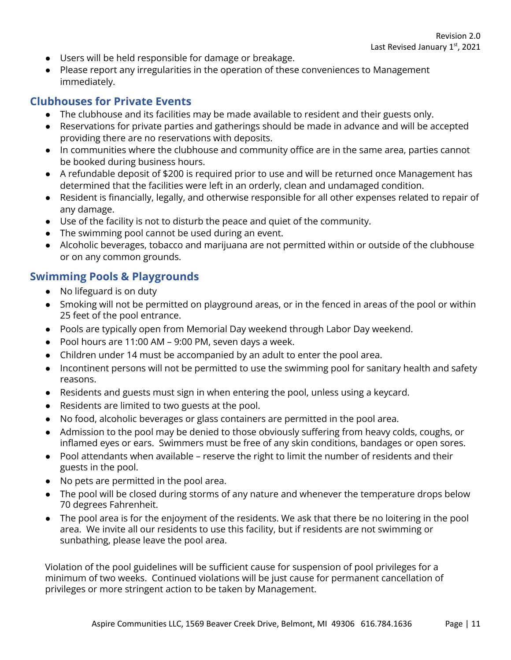- **●** Users will be held responsible for damage or breakage.
- **●** Please report any irregularities in the operation of these conveniences to Management immediately.

### <span id="page-10-0"></span>**Clubhouses for Private Events**

- The clubhouse and its facilities may be made available to resident and their guests only.
- Reservations for private parties and gatherings should be made in advance and will be accepted providing there are no reservations with deposits.
- In communities where the clubhouse and community office are in the same area, parties cannot be booked during business hours.
- A refundable deposit of \$200 is required prior to use and will be returned once Management has determined that the facilities were left in an orderly, clean and undamaged condition.
- Resident is financially, legally, and otherwise responsible for all other expenses related to repair of any damage.
- Use of the facility is not to disturb the peace and quiet of the community.
- The swimming pool cannot be used during an event.
- Alcoholic beverages, tobacco and marijuana are not permitted within or outside of the clubhouse or on any common grounds.

# <span id="page-10-1"></span>**Swimming Pools & Playgrounds**

- No lifeguard is on duty
- Smoking will not be permitted on playground areas, or in the fenced in areas of the pool or within 25 feet of the pool entrance.
- Pools are typically open from Memorial Day weekend through Labor Day weekend.
- Pool hours are 11:00 AM 9:00 PM, seven days a week.
- Children under 14 must be accompanied by an adult to enter the pool area.
- Incontinent persons will not be permitted to use the swimming pool for sanitary health and safety reasons.
- Residents and guests must sign in when entering the pool, unless using a keycard.
- Residents are limited to two guests at the pool.
- No food, alcoholic beverages or glass containers are permitted in the pool area.
- Admission to the pool may be denied to those obviously suffering from heavy colds, coughs, or inflamed eyes or ears. Swimmers must be free of any skin conditions, bandages or open sores.
- Pool attendants when available reserve the right to limit the number of residents and their guests in the pool.
- No pets are permitted in the pool area.
- The pool will be closed during storms of any nature and whenever the temperature drops below 70 degrees Fahrenheit.
- The pool area is for the enjoyment of the residents. We ask that there be no loitering in the pool area. We invite all our residents to use this facility, but if residents are not swimming or sunbathing, please leave the pool area.

Violation of the pool guidelines will be sufficient cause for suspension of pool privileges for a minimum of two weeks. Continued violations will be just cause for permanent cancellation of privileges or more stringent action to be taken by Management.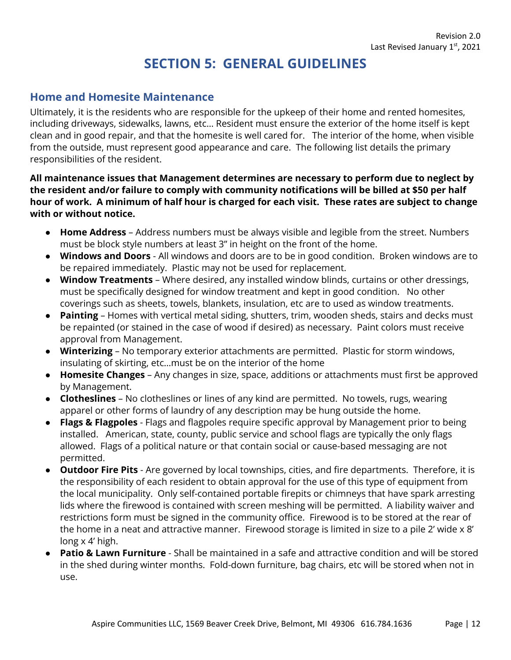# **SECTION 5: GENERAL GUIDELINES**

#### <span id="page-11-1"></span><span id="page-11-0"></span>**Home and Homesite Maintenance**

Ultimately, it is the residents who are responsible for the upkeep of their home and rented homesites, including driveways, sidewalks, lawns, etc… Resident must ensure the exterior of the home itself is kept clean and in good repair, and that the homesite is well cared for. The interior of the home, when visible from the outside, must represent good appearance and care. The following list details the primary responsibilities of the resident.

#### **All maintenance issues that Management determines are necessary to perform due to neglect by the resident and/or failure to comply with community notifications will be billed at \$50 per half** hour of work. A minimum of half hour is charged for each visit. These rates are subject to change **with or without notice.**

- **● Home Address** Address numbers must be always visible and legible from the street. Numbers must be block style numbers at least 3" in height on the front of the home.
- **● Windows and Doors** All windows and doors are to be in good condition. Broken windows are to be repaired immediately. Plastic may not be used for replacement.
- **● Window Treatments** Where desired, any installed window blinds, curtains or other dressings, must be specifically designed for window treatment and kept in good condition. No other coverings such as sheets, towels, blankets, insulation, etc are to used as window treatments.
- **● Painting** Homes with vertical metal siding, shutters, trim, wooden sheds, stairs and decks must be repainted (or stained in the case of wood if desired) as necessary. Paint colors must receive approval from Management.
- **● Winterizing** No temporary exterior attachments are permitted. Plastic for storm windows, insulating of skirting, etc…must be on the interior of the home
- **● Homesite Changes** Any changes in size, space, additions or attachments must first be approved by Management.
- **● Clotheslines** No clotheslines or lines of any kind are permitted. No towels, rugs, wearing apparel or other forms of laundry of any description may be hung outside the home.
- **● Flags & Flagpoles** Flags and flagpoles require specific approval by Management prior to being installed. American, state, county, public service and school flags are typically the only flags allowed. Flags of a political nature or that contain social or cause-based messaging are not permitted.
- **● Outdoor Fire Pits** Are governed by local townships, cities, and fire departments. Therefore, it is the responsibility of each resident to obtain approval for the use of this type of equipment from the local municipality. Only self-contained portable firepits or chimneys that have spark arresting lids where the firewood is contained with screen meshing will be permitted. A liability waiver and restrictions form must be signed in the community office. Firewood is to be stored at the rear of the home in a neat and attractive manner. Firewood storage is limited in size to a pile 2' wide x 8' long x 4' high.
- **● Patio & Lawn Furniture** Shall be maintained in a safe and attractive condition and will be stored in the shed during winter months. Fold-down furniture, bag chairs, etc will be stored when not in use.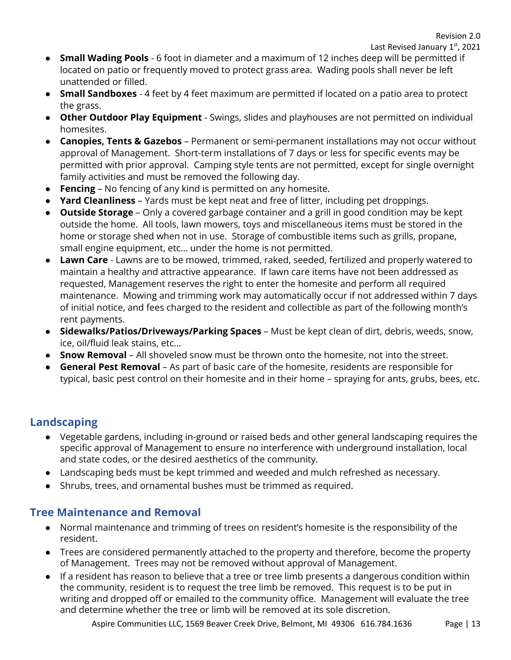- **● Small Wading Pools** 6 foot in diameter and a maximum of 12 inches deep will be permitted if located on patio or frequently moved to protect grass area. Wading pools shall never be left unattended or filled.
- **● Small Sandboxes** 4 feet by 4 feet maximum are permitted if located on a patio area to protect the grass.
- **● Other Outdoor Play Equipment** Swings, slides and playhouses are not permitted on individual homesites.
- **Canopies, Tents & Gazebos** Permanent or semi-permanent installations may not occur without approval of Management. Short-term installations of 7 days or less for specific events may be permitted with prior approval. Camping style tents are not permitted, except for single overnight family activities and must be removed the following day.
- **Fencing** No fencing of any kind is permitted on any homesite.
- **● Yard Cleanliness** Yards must be kept neat and free of litter, including pet droppings.
- **● Outside Storage** Only a covered garbage container and a grill in good condition may be kept outside the home. All tools, lawn mowers, toys and miscellaneous items must be stored in the home or storage shed when not in use. Storage of combustible items such as grills, propane, small engine equipment, etc... under the home is not permitted.
- **● Lawn Care** Lawns are to be mowed, trimmed, raked, seeded, fertilized and properly watered to maintain a healthy and attractive appearance. If lawn care items have not been addressed as requested, Management reserves the right to enter the homesite and perform all required maintenance. Mowing and trimming work may automatically occur if not addressed within 7 days of initial notice, and fees charged to the resident and collectible as part of the following month's rent payments.
- **● Sidewalks/Patios/Driveways/Parking Spaces** Must be kept clean of dirt, debris, weeds, snow, ice, oil/fluid leak stains, etc…
- **● Snow Removal** All shoveled snow must be thrown onto the homesite, not into the street.
- **General Pest Removal** As part of basic care of the homesite, residents are responsible for typical, basic pest control on their homesite and in their home – spraying for ants, grubs, bees, etc.

# <span id="page-12-0"></span>**Landscaping**

- Vegetable gardens, including in-ground or raised beds and other general landscaping requires the specific approval of Management to ensure no interference with underground installation, local and state codes, or the desired aesthetics of the community.
- Landscaping beds must be kept trimmed and weeded and mulch refreshed as necessary.
- Shrubs, trees, and ornamental bushes must be trimmed as required.

### <span id="page-12-1"></span>**Tree Maintenance and Removal**

- **●** Normal maintenance and trimming of trees on resident's homesite is the responsibility of the resident.
- **●** Trees are considered permanently attached to the property and therefore, become the property of Management. Trees may not be removed without approval of Management.
- **●** If a resident has reason to believe that a tree or tree limb presents a dangerous condition within the community, resident is to request the tree limb be removed. This request is to be put in writing and dropped off or emailed to the community office. Management will evaluate the tree and determine whether the tree or limb will be removed at its sole discretion.

Aspire Communities LLC, 1569 Beaver Creek Drive, Belmont, MI 49306 616.784.1636 Page | 13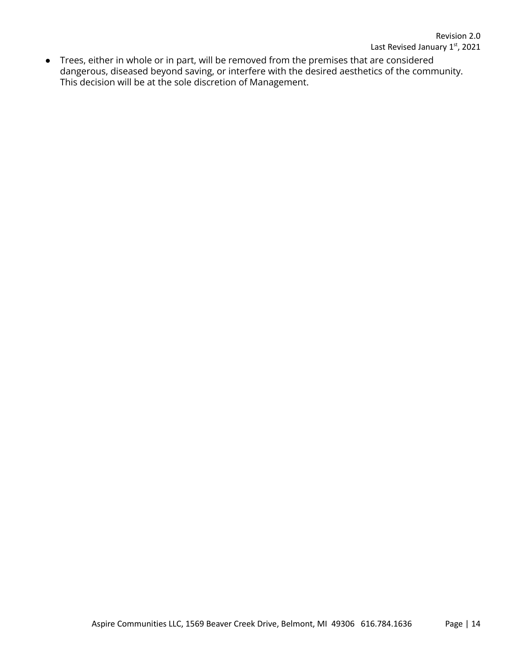**●** Trees, either in whole or in part, will be removed from the premises that are considered dangerous, diseased beyond saving, or interfere with the desired aesthetics of the community. This decision will be at the sole discretion of Management.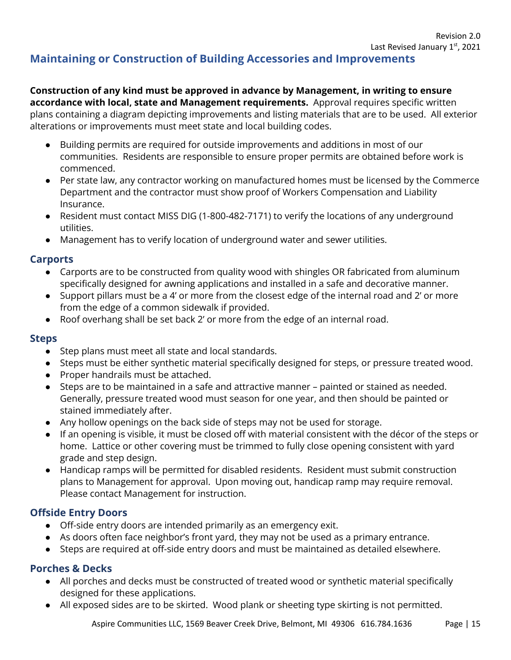### <span id="page-14-0"></span>**Maintaining or Construction of Building Accessories and Improvements**

**Construction of any kind must be approved in advance by Management, in writing to ensure accordance with local, state and Management requirements.** Approval requires specific written plans containing a diagram depicting improvements and listing materials that are to be used. All exterior alterations or improvements must meet state and local building codes.

- Building permits are required for outside improvements and additions in most of our communities. Residents are responsible to ensure proper permits are obtained before work is commenced.
- Per state law, any contractor working on manufactured homes must be licensed by the Commerce Department and the contractor must show proof of Workers Compensation and Liability Insurance.
- Resident must contact MISS DIG (1-800-482-7171) to verify the locations of any underground utilities.
- Management has to verify location of underground water and sewer utilities.

#### <span id="page-14-1"></span>**Carports**

- Carports are to be constructed from quality wood with shingles OR fabricated from aluminum specifically designed for awning applications and installed in a safe and decorative manner.
- Support pillars must be a 4' or more from the closest edge of the internal road and 2' or more from the edge of a common sidewalk if provided.
- Roof overhang shall be set back 2' or more from the edge of an internal road.

#### <span id="page-14-2"></span>**Steps**

- Step plans must meet all state and local standards.
- Steps must be either synthetic material specifically designed for steps, or pressure treated wood.
- Proper handrails must be attached.
- Steps are to be maintained in a safe and attractive manner painted or stained as needed. Generally, pressure treated wood must season for one year, and then should be painted or stained immediately after.
- Any hollow openings on the back side of steps may not be used for storage.
- If an opening is visible, it must be closed off with material consistent with the décor of the steps or home. Lattice or other covering must be trimmed to fully close opening consistent with yard grade and step design.
- Handicap ramps will be permitted for disabled residents. Resident must submit construction plans to Management for approval. Upon moving out, handicap ramp may require removal. Please contact Management for instruction.

#### <span id="page-14-3"></span>**Offside Entry Doors**

- Off-side entry doors are intended primarily as an emergency exit.
- As doors often face neighbor's front yard, they may not be used as a primary entrance.
- Steps are required at off-side entry doors and must be maintained as detailed elsewhere.

#### <span id="page-14-4"></span>**Porches & Decks**

- All porches and decks must be constructed of treated wood or synthetic material specifically designed for these applications.
- All exposed sides are to be skirted. Wood plank or sheeting type skirting is not permitted.

Aspire Communities LLC, 1569 Beaver Creek Drive, Belmont, MI 49306 616.784.1636 Page | 15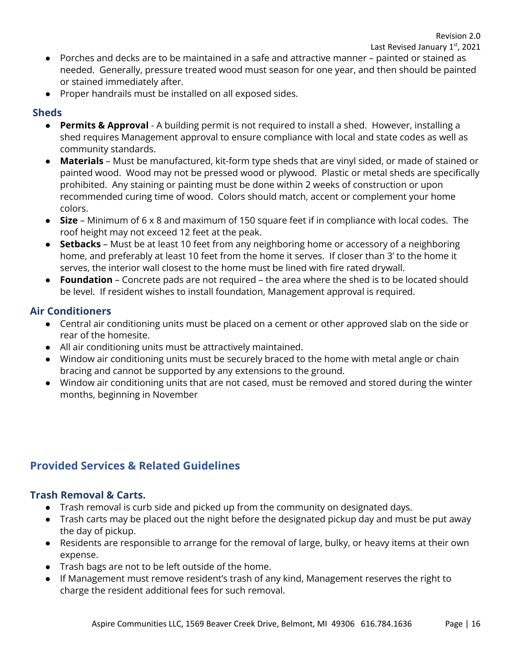- Porches and decks are to be maintained in a safe and attractive manner painted or stained as needed. Generally, pressure treated wood must season for one year, and then should be painted or stained immediately after.
- Proper handrails must be installed on all exposed sides.

#### <span id="page-15-0"></span>**Sheds**

- **Permits & Approval** A building permit is not required to install a shed. However, installing a shed requires Management approval to ensure compliance with local and state codes as well as community standards.
- **Materials** Must be manufactured, kit-form type sheds that are vinyl sided, or made of stained or painted wood. Wood may not be pressed wood or plywood. Plastic or metal sheds are specifically prohibited. Any staining or painting must be done within 2 weeks of construction or upon recommended curing time of wood. Colors should match, accent or complement your home colors.
- **Size** Minimum of 6 x 8 and maximum of 150 square feet if in compliance with local codes. The roof height may not exceed 12 feet at the peak.
- **Setbacks** Must be at least 10 feet from any neighboring home or accessory of a neighboring home, and preferably at least 10 feet from the home it serves. If closer than 3' to the home it serves, the interior wall closest to the home must be lined with fire rated drywall.
- **Foundation** Concrete pads are not required the area where the shed is to be located should be level. If resident wishes to install foundation, Management approval is required.

#### <span id="page-15-1"></span>**Air Conditioners**

- Central air conditioning units must be placed on a cement or other approved slab on the side or rear of the homesite.
- All air conditioning units must be attractively maintained.
- Window air conditioning units must be securely braced to the home with metal angle or chain bracing and cannot be supported by any extensions to the ground.
- Window air conditioning units that are not cased, must be removed and stored during the winter months, beginning in November

# <span id="page-15-2"></span>**Provided Services & Related Guidelines**

#### <span id="page-15-3"></span>**Trash Removal & Carts.**

- **●** Trash removal is curb side and picked up from the community on designated days.
- **●** Trash carts may be placed out the night before the designated pickup day and must be put away the day of pickup.
- **●** Residents are responsible to arrange for the removal of large, bulky, or heavy items at their own expense.
- **●** Trash bags are not to be left outside of the home.
- **●** If Management must remove resident's trash of any kind, Management reserves the right to charge the resident additional fees for such removal.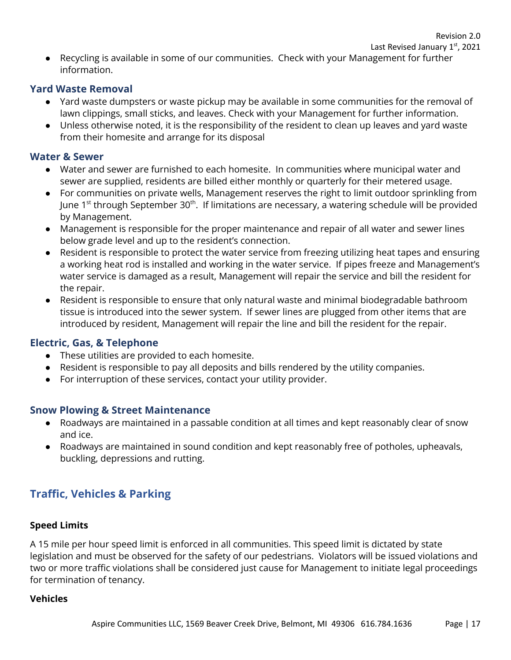**●** Recycling is available in some of our communities. Check with your Management for further information.

#### <span id="page-16-0"></span>**Yard Waste Removal**

- Yard waste dumpsters or waste pickup may be available in some communities for the removal of lawn clippings, small sticks, and leaves. Check with your Management for further information.
- Unless otherwise noted, it is the responsibility of the resident to clean up leaves and yard waste from their homesite and arrange for its disposal

#### <span id="page-16-1"></span>**Water & Sewer**

- **●** Water and sewer are furnished to each homesite. In communities where municipal water and sewer are supplied, residents are billed either monthly or quarterly for their metered usage.
- **●** For communities on private wells, Management reserves the right to limit outdoor sprinkling from June 1<sup>st</sup> through September 30<sup>th</sup>. If limitations are necessary, a watering schedule will be provided by Management.
- **●** Management is responsible for the proper maintenance and repair of all water and sewer lines below grade level and up to the resident's connection.
- **●** Resident is responsible to protect the water service from freezing utilizing heat tapes and ensuring a working heat rod is installed and working in the water service. If pipes freeze and Management's water service is damaged as a result, Management will repair the service and bill the resident for the repair.
- **●** Resident is responsible to ensure that only natural waste and minimal biodegradable bathroom tissue is introduced into the sewer system. If sewer lines are plugged from other items that are introduced by resident, Management will repair the line and bill the resident for the repair.

#### <span id="page-16-2"></span>**Electric, Gas, & Telephone**

- **●** These utilities are provided to each homesite.
- **●** Resident is responsible to pay all deposits and bills rendered by the utility companies.
- **●** For interruption of these services, contact your utility provider.

#### <span id="page-16-3"></span>**Snow Plowing & Street Maintenance**

- **●** Roadways are maintained in a passable condition at all times and kept reasonably clear of snow and ice.
- **●** Roadways are maintained in sound condition and kept reasonably free of potholes, upheavals, buckling, depressions and rutting.

# <span id="page-16-4"></span>**Traffic, Vehicles & Parking**

#### **Speed Limits**

A 15 mile per hour speed limit is enforced in all communities. This speed limit is dictated by state legislation and must be observed for the safety of our pedestrians. Violators will be issued violations and two or more traffic violations shall be considered just cause for Management to initiate legal proceedings for termination of tenancy.

#### **Vehicles**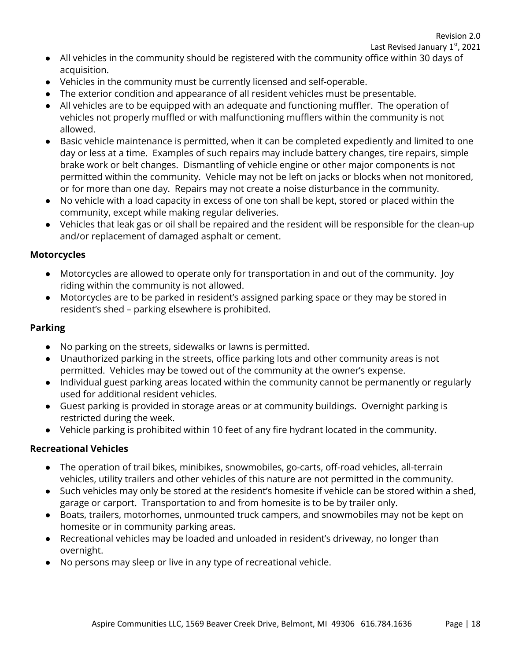#### Revision 2.0

Last Revised January 1st, 2021

- All vehicles in the community should be registered with the community office within 30 days of acquisition.
- Vehicles in the community must be currently licensed and self-operable.
- The exterior condition and appearance of all resident vehicles must be presentable.
- All vehicles are to be equipped with an adequate and functioning muffler. The operation of vehicles not properly muffled or with malfunctioning mufflers within the community is not allowed.
- Basic vehicle maintenance is permitted, when it can be completed expediently and limited to one day or less at a time. Examples of such repairs may include battery changes, tire repairs, simple brake work or belt changes. Dismantling of vehicle engine or other major components is not permitted within the community. Vehicle may not be left on jacks or blocks when not monitored, or for more than one day. Repairs may not create a noise disturbance in the community.
- No vehicle with a load capacity in excess of one ton shall be kept, stored or placed within the community, except while making regular deliveries.
- Vehicles that leak gas or oil shall be repaired and the resident will be responsible for the clean-up and/or replacement of damaged asphalt or cement.

#### **Motorcycles**

- Motorcycles are allowed to operate only for transportation in and out of the community. Joy riding within the community is not allowed.
- Motorcycles are to be parked in resident's assigned parking space or they may be stored in resident's shed – parking elsewhere is prohibited.

#### **Parking**

- **●** No parking on the streets, sidewalks or lawns is permitted.
- **●** Unauthorized parking in the streets, office parking lots and other community areas is not permitted. Vehicles may be towed out of the community at the owner's expense.
- **●** Individual guest parking areas located within the community cannot be permanently or regularly used for additional resident vehicles.
- **●** Guest parking is provided in storage areas or at community buildings. Overnight parking is restricted during the week.
- **●** Vehicle parking is prohibited within 10 feet of any fire hydrant located in the community.

#### **Recreational Vehicles**

- The operation of trail bikes, minibikes, snowmobiles, go-carts, off-road vehicles, all-terrain vehicles, utility trailers and other vehicles of this nature are not permitted in the community.
- Such vehicles may only be stored at the resident's homesite if vehicle can be stored within a shed, garage or carport. Transportation to and from homesite is to be by trailer only.
- Boats, trailers, motorhomes, unmounted truck campers, and snowmobiles may not be kept on homesite or in community parking areas.
- Recreational vehicles may be loaded and unloaded in resident's driveway, no longer than overnight.
- No persons may sleep or live in any type of recreational vehicle.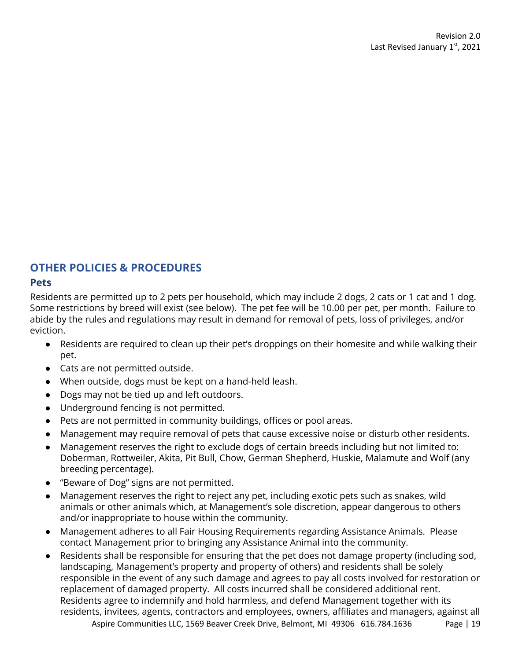### <span id="page-18-0"></span>**OTHER POLICIES & PROCEDURES**

#### <span id="page-18-1"></span>**Pets**

Residents are permitted up to 2 pets per household, which may include 2 dogs, 2 cats or 1 cat and 1 dog. Some restrictions by breed will exist (see below). The pet fee will be 10.00 per pet, per month. Failure to abide by the rules and regulations may result in demand for removal of pets, loss of privileges, and/or eviction.

- Residents are required to clean up their pet's droppings on their homesite and while walking their pet.
- Cats are not permitted outside.
- When outside, dogs must be kept on a hand-held leash.
- Dogs may not be tied up and left outdoors.
- Underground fencing is not permitted.
- Pets are not permitted in community buildings, offices or pool areas.
- Management may require removal of pets that cause excessive noise or disturb other residents.
- Management reserves the right to exclude dogs of certain breeds including but not limited to: Doberman, Rottweiler, Akita, Pit Bull, Chow, German Shepherd, Huskie, Malamute and Wolf (any breeding percentage).
- "Beware of Dog" signs are not permitted.
- Management reserves the right to reject any pet, including exotic pets such as snakes, wild animals or other animals which, at Management's sole discretion, appear dangerous to others and/or inappropriate to house within the community.
- Management adheres to all Fair Housing Requirements regarding Assistance Animals. Please contact Management prior to bringing any Assistance Animal into the community.
- Residents shall be responsible for ensuring that the pet does not damage property (including sod, landscaping, Management's property and property of others) and residents shall be solely responsible in the event of any such damage and agrees to pay all costs involved for restoration or replacement of damaged property. All costs incurred shall be considered additional rent. Residents agree to indemnify and hold harmless, and defend Management together with its residents, invitees, agents, contractors and employees, owners, affiliates and managers, against all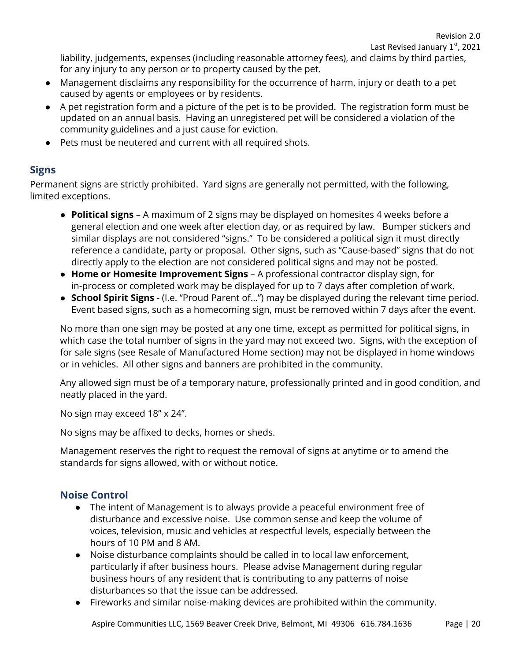liability, judgements, expenses (including reasonable attorney fees), and claims by third parties, for any injury to any person or to property caused by the pet.

- Management disclaims any responsibility for the occurrence of harm, injury or death to a pet caused by agents or employees or by residents.
- A pet registration form and a picture of the pet is to be provided. The registration form must be updated on an annual basis. Having an unregistered pet will be considered a violation of the community guidelines and a just cause for eviction.
- Pets must be neutered and current with all required shots.

#### <span id="page-19-0"></span>**Signs**

Permanent signs are strictly prohibited. Yard signs are generally not permitted, with the following, limited exceptions.

- **● Political signs** A maximum of 2 signs may be displayed on homesites 4 weeks before a general election and one week after election day, or as required by law. Bumper stickers and similar displays are not considered "signs." To be considered a political sign it must directly reference a candidate, party or proposal. Other signs, such as "Cause-based" signs that do not directly apply to the election are not considered political signs and may not be posted.
- **● Home or Homesite Improvement Signs** A professional contractor display sign, for in-process or completed work may be displayed for up to 7 days after completion of work.
- **● School Spirit Signs** (I.e. "Proud Parent of...") may be displayed during the relevant time period. Event based signs, such as a homecoming sign, must be removed within 7 days after the event.

No more than one sign may be posted at any one time, except as permitted for political signs, in which case the total number of signs in the yard may not exceed two. Signs, with the exception of for sale signs (see Resale of Manufactured Home section) may not be displayed in home windows or in vehicles. All other signs and banners are prohibited in the community.

Any allowed sign must be of a temporary nature, professionally printed and in good condition, and neatly placed in the yard.

No sign may exceed 18" x 24".

No signs may be affixed to decks, homes or sheds.

Management reserves the right to request the removal of signs at anytime or to amend the standards for signs allowed, with or without notice.

#### <span id="page-19-1"></span>**Noise Control**

- The intent of Management is to always provide a peaceful environment free of disturbance and excessive noise. Use common sense and keep the volume of voices, television, music and vehicles at respectful levels, especially between the hours of 10 PM and 8 AM.
- Noise disturbance complaints should be called in to local law enforcement, particularly if after business hours. Please advise Management during regular business hours of any resident that is contributing to any patterns of noise disturbances so that the issue can be addressed.
- Fireworks and similar noise-making devices are prohibited within the community.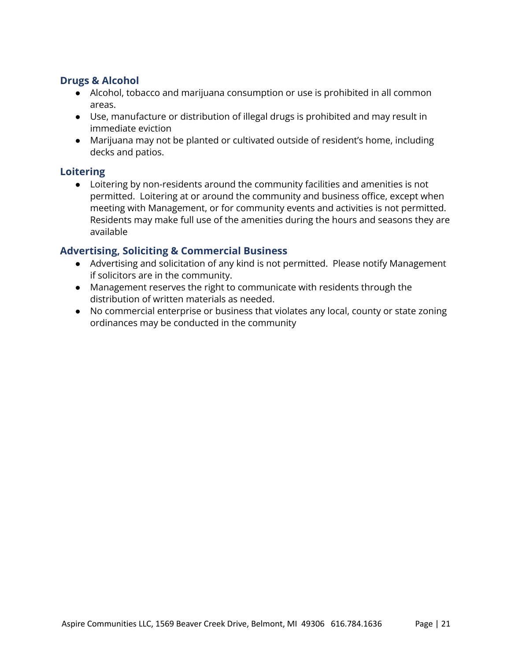#### <span id="page-20-0"></span>**Drugs & Alcohol**

- Alcohol, tobacco and marijuana consumption or use is prohibited in all common areas.
- Use, manufacture or distribution of illegal drugs is prohibited and may result in immediate eviction
- Marijuana may not be planted or cultivated outside of resident's home, including decks and patios.

#### <span id="page-20-1"></span>**Loitering**

● Loitering by non-residents around the community facilities and amenities is not permitted. Loitering at or around the community and business office, except when meeting with Management, or for community events and activities is not permitted. Residents may make full use of the amenities during the hours and seasons they are available

#### <span id="page-20-2"></span>**Advertising, Soliciting & Commercial Business**

- Advertising and solicitation of any kind is not permitted. Please notify Management if solicitors are in the community.
- Management reserves the right to communicate with residents through the distribution of written materials as needed.
- No commercial enterprise or business that violates any local, county or state zoning ordinances may be conducted in the community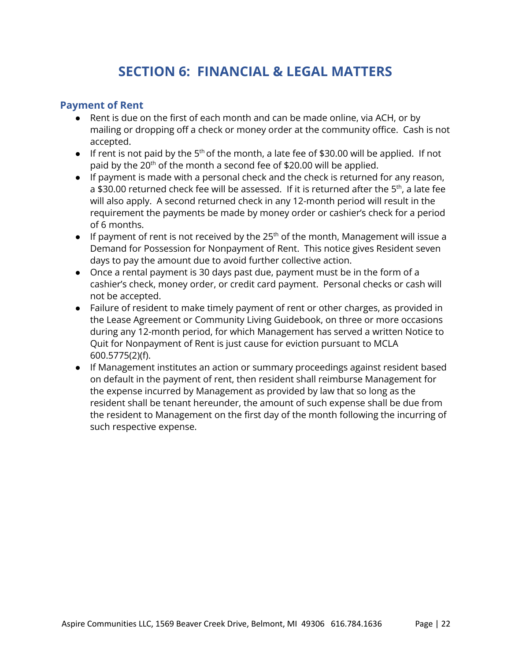# **SECTION 6: FINANCIAL & LEGAL MATTERS**

#### <span id="page-21-1"></span><span id="page-21-0"></span>**Payment of Rent**

- **●** Rent is due on the first of each month and can be made online, via ACH, or by mailing or dropping off a check or money order at the community office. Cash is not accepted.
- If rent is not paid by the 5<sup>th</sup> of the month, a late fee of \$30.00 will be applied. If not paid by the 20<sup>th</sup> of the month a second fee of \$20.00 will be applied.
- **●** If payment is made with a personal check and the check is returned for any reason, a \$30.00 returned check fee will be assessed. If it is returned after the 5<sup>th</sup>, a late fee will also apply. A second returned check in any 12-month period will result in the requirement the payments be made by money order or cashier's check for a period of 6 months.
- If payment of rent is not received by the 25<sup>th</sup> of the month, Management will issue a Demand for Possession for Nonpayment of Rent. This notice gives Resident seven days to pay the amount due to avoid further collective action.
- **●** Once a rental payment is 30 days past due, payment must be in the form of a cashier's check, money order, or credit card payment. Personal checks or cash will not be accepted.
- **●** Failure of resident to make timely payment of rent or other charges, as provided in the Lease Agreement or Community Living Guidebook, on three or more occasions during any 12-month period, for which Management has served a written Notice to Quit for Nonpayment of Rent is just cause for eviction pursuant to MCLA 600.5775(2)(f).
- **●** If Management institutes an action or summary proceedings against resident based on default in the payment of rent, then resident shall reimburse Management for the expense incurred by Management as provided by law that so long as the resident shall be tenant hereunder, the amount of such expense shall be due from the resident to Management on the first day of the month following the incurring of such respective expense.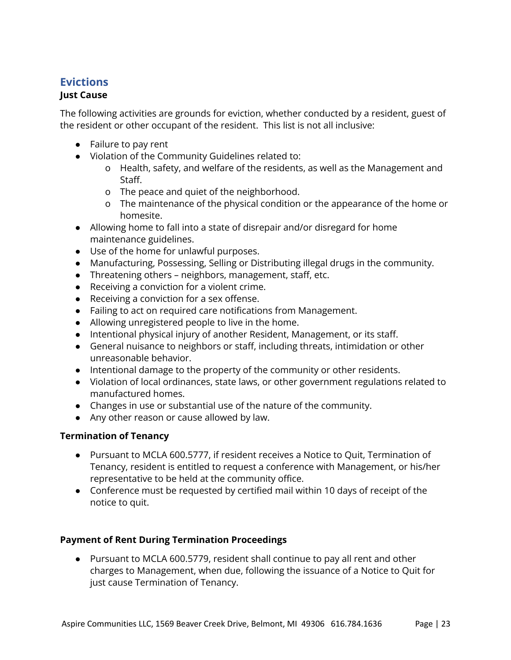## <span id="page-22-0"></span>**Evictions**

#### **Just Cause**

The following activities are grounds for eviction, whether conducted by a resident, guest of the resident or other occupant of the resident. This list is not all inclusive:

- Failure to pay rent
- Violation of the Community Guidelines related to:
	- o Health, safety, and welfare of the residents, as well as the Management and Staff.
	- o The peace and quiet of the neighborhood.
	- o The maintenance of the physical condition or the appearance of the home or homesite.
- Allowing home to fall into a state of disrepair and/or disregard for home maintenance guidelines.
- Use of the home for unlawful purposes.
- Manufacturing, Possessing, Selling or Distributing illegal drugs in the community.
- Threatening others neighbors, management, staff, etc.
- Receiving a conviction for a violent crime.
- Receiving a conviction for a sex offense.
- Failing to act on required care notifications from Management.
- Allowing unregistered people to live in the home.
- Intentional physical injury of another Resident, Management, or its staff.
- General nuisance to neighbors or staff, including threats, intimidation or other unreasonable behavior.
- Intentional damage to the property of the community or other residents.
- Violation of local ordinances, state laws, or other government regulations related to manufactured homes.
- Changes in use or substantial use of the nature of the community.
- Any other reason or cause allowed by law.

#### **Termination of Tenancy**

- Pursuant to MCLA 600.5777, if resident receives a Notice to Quit, Termination of Tenancy, resident is entitled to request a conference with Management, or his/her representative to be held at the community office.
- Conference must be requested by certified mail within 10 days of receipt of the notice to quit.

#### **Payment of Rent During Termination Proceedings**

**●** Pursuant to MCLA 600.5779, resident shall continue to pay all rent and other charges to Management, when due, following the issuance of a Notice to Quit for just cause Termination of Tenancy.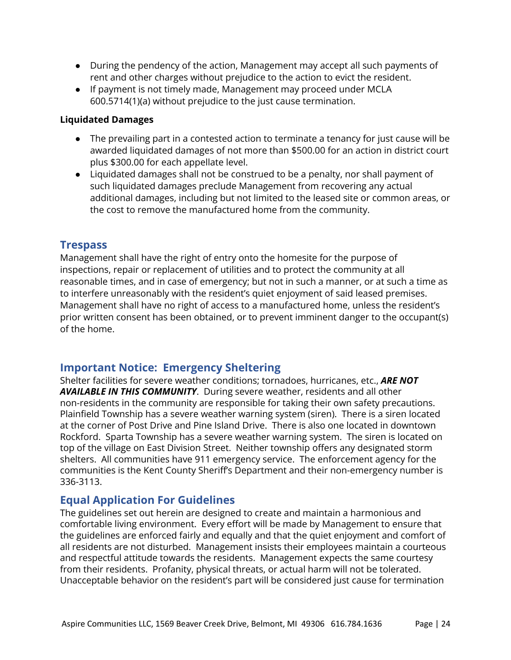- **●** During the pendency of the action, Management may accept all such payments of rent and other charges without prejudice to the action to evict the resident.
- **●** If payment is not timely made, Management may proceed under MCLA 600.5714(1)(a) without prejudice to the just cause termination.

#### **Liquidated Damages**

- The prevailing part in a contested action to terminate a tenancy for just cause will be awarded liquidated damages of not more than \$500.00 for an action in district court plus \$300.00 for each appellate level.
- Liquidated damages shall not be construed to be a penalty, nor shall payment of such liquidated damages preclude Management from recovering any actual additional damages, including but not limited to the leased site or common areas, or the cost to remove the manufactured home from the community.

### <span id="page-23-0"></span>**Trespass**

Management shall have the right of entry onto the homesite for the purpose of inspections, repair or replacement of utilities and to protect the community at all reasonable times, and in case of emergency; but not in such a manner, or at such a time as to interfere unreasonably with the resident's quiet enjoyment of said leased premises. Management shall have no right of access to a manufactured home, unless the resident's prior written consent has been obtained, or to prevent imminent danger to the occupant(s) of the home.

# <span id="page-23-1"></span>**Important Notice: Emergency Sheltering**

Shelter facilities for severe weather conditions; tornadoes, hurricanes, etc., *ARE NOT AVAILABLE IN THIS COMMUNITY*. During severe weather, residents and all other non-residents in the community are responsible for taking their own safety precautions. Plainfield Township has a severe weather warning system (siren). There is a siren located at the corner of Post Drive and Pine Island Drive. There is also one located in downtown Rockford. Sparta Township has a severe weather warning system. The siren is located on top of the village on East Division Street. Neither township offers any designated storm shelters. All communities have 911 emergency service. The enforcement agency for the communities is the Kent County Sheriff's Department and their non-emergency number is 336-3113.

### <span id="page-23-2"></span>**Equal Application For Guidelines**

The guidelines set out herein are designed to create and maintain a harmonious and comfortable living environment. Every effort will be made by Management to ensure that the guidelines are enforced fairly and equally and that the quiet enjoyment and comfort of all residents are not disturbed. Management insists their employees maintain a courteous and respectful attitude towards the residents. Management expects the same courtesy from their residents. Profanity, physical threats, or actual harm will not be tolerated. Unacceptable behavior on the resident's part will be considered just cause for termination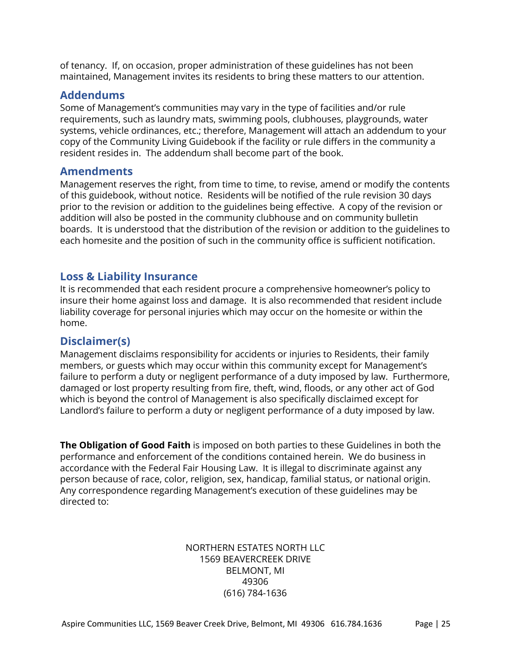of tenancy. If, on occasion, proper administration of these guidelines has not been maintained, Management invites its residents to bring these matters to our attention.

#### <span id="page-24-0"></span>**Addendums**

Some of Management's communities may vary in the type of facilities and/or rule requirements, such as laundry mats, swimming pools, clubhouses, playgrounds, water systems, vehicle ordinances, etc.; therefore, Management will attach an addendum to your copy of the Community Living Guidebook if the facility or rule differs in the community a resident resides in. The addendum shall become part of the book.

#### <span id="page-24-1"></span>**Amendments**

Management reserves the right, from time to time, to revise, amend or modify the contents of this guidebook, without notice. Residents will be notified of the rule revision 30 days prior to the revision or addition to the guidelines being effective. A copy of the revision or addition will also be posted in the community clubhouse and on community bulletin boards. It is understood that the distribution of the revision or addition to the guidelines to each homesite and the position of such in the community office is sufficient notification.

#### <span id="page-24-2"></span>**Loss & Liability Insurance**

It is recommended that each resident procure a comprehensive homeowner's policy to insure their home against loss and damage. It is also recommended that resident include liability coverage for personal injuries which may occur on the homesite or within the home.

#### <span id="page-24-3"></span>**Disclaimer(s)**

Management disclaims responsibility for accidents or injuries to Residents, their family members, or guests which may occur within this community except for Management's failure to perform a duty or negligent performance of a duty imposed by law. Furthermore, damaged or lost property resulting from fire, theft, wind, floods, or any other act of God which is beyond the control of Management is also specifically disclaimed except for Landlord's failure to perform a duty or negligent performance of a duty imposed by law.

**The Obligation of Good Faith** is imposed on both parties to these Guidelines in both the performance and enforcement of the conditions contained herein. We do business in accordance with the Federal Fair Housing Law. It is illegal to discriminate against any person because of race, color, religion, sex, handicap, familial status, or national origin. Any correspondence regarding Management's execution of these guidelines may be directed to:

#### NORTHERN ESTATES NORTH LLC 1569 BEAVERCREEK DRIVE BELMONT, MI 49306 (616) 784-1636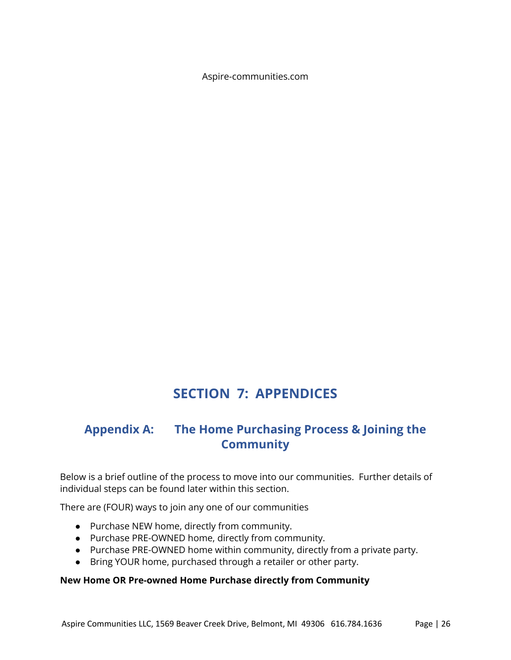Aspire-communities.com

# **SECTION 7: APPENDICES**

# <span id="page-25-1"></span><span id="page-25-0"></span>**Appendix A: The Home Purchasing Process & Joining the Community**

Below is a brief outline of the process to move into our communities. Further details of individual steps can be found later within this section.

There are (FOUR) ways to join any one of our communities

- Purchase NEW home, directly from community.
- Purchase PRE-OWNED home, directly from community.
- Purchase PRE-OWNED home within community, directly from a private party.
- Bring YOUR home, purchased through a retailer or other party.

#### **New Home OR Pre-owned Home Purchase directly from Community**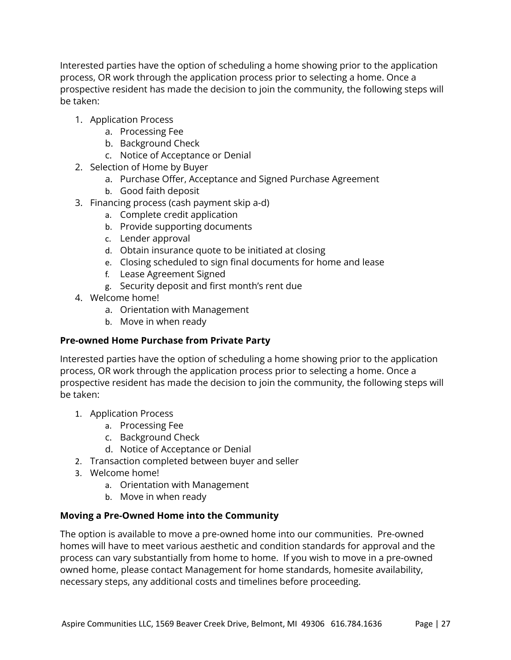Interested parties have the option of scheduling a home showing prior to the application process, OR work through the application process prior to selecting a home. Once a prospective resident has made the decision to join the community, the following steps will be taken:

- 1. Application Process
	- a. Processing Fee
	- b. Background Check
	- c. Notice of Acceptance or Denial
- 2. Selection of Home by Buyer
	- a. Purchase Offer, Acceptance and Signed Purchase Agreement
	- b. Good faith deposit
- 3. Financing process (cash payment skip a-d)
	- a. Complete credit application
	- b. Provide supporting documents
	- c. Lender approval
	- d. Obtain insurance quote to be initiated at closing
	- e. Closing scheduled to sign final documents for home and lease
	- f. Lease Agreement Signed
	- g. Security deposit and first month's rent due
- 4. Welcome home!
	- a. Orientation with Management
	- b. Move in when ready

#### **Pre-owned Home Purchase from Private Party**

Interested parties have the option of scheduling a home showing prior to the application process, OR work through the application process prior to selecting a home. Once a prospective resident has made the decision to join the community, the following steps will be taken:

- 1. Application Process
	- a. Processing Fee
		- c. Background Check
		- d. Notice of Acceptance or Denial
- 2. Transaction completed between buyer and seller
- 3. Welcome home!
	- a. Orientation with Management
	- b. Move in when ready

#### **Moving a Pre-Owned Home into the Community**

The option is available to move a pre-owned home into our communities. Pre-owned homes will have to meet various aesthetic and condition standards for approval and the process can vary substantially from home to home. If you wish to move in a pre-owned owned home, please contact Management for home standards, homesite availability, necessary steps, any additional costs and timelines before proceeding.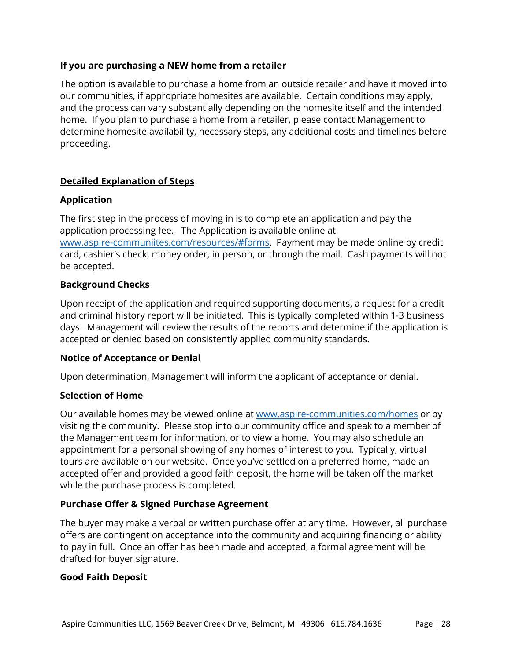#### **If you are purchasing a NEW home from a retailer**

The option is available to purchase a home from an outside retailer and have it moved into our communities, if appropriate homesites are available. Certain conditions may apply, and the process can vary substantially depending on the homesite itself and the intended home. If you plan to purchase a home from a retailer, please contact Management to determine homesite availability, necessary steps, any additional costs and timelines before proceeding.

#### **Detailed Explanation of Steps**

#### **Application**

The first step in the process of moving in is to complete an application and pay the application processing fee. The Application is available online at [www.aspire-communiites.com/resources/#forms.](http://www.aspire-communiites.com/resources/#forms) Payment may be made online by credit card, cashier's check, money order, in person, or through the mail. Cash payments will not be accepted.

#### **Background Checks**

Upon receipt of the application and required supporting documents, a request for a credit and criminal history report will be initiated. This is typically completed within 1-3 business days. Management will review the results of the reports and determine if the application is accepted or denied based on consistently applied community standards.

#### **Notice of Acceptance or Denial**

Upon determination, Management will inform the applicant of acceptance or denial.

#### **Selection of Home**

Our available homes may be viewed online at [www.aspire-communities.com/homes](http://www.aspire-communities.com/homes) or by visiting the community. Please stop into our community office and speak to a member of the Management team for information, or to view a home. You may also schedule an appointment for a personal showing of any homes of interest to you. Typically, virtual tours are available on our website. Once you've settled on a preferred home, made an accepted offer and provided a good faith deposit, the home will be taken off the market while the purchase process is completed.

#### **Purchase Offer & Signed Purchase Agreement**

The buyer may make a verbal or written purchase offer at any time. However, all purchase offers are contingent on acceptance into the community and acquiring financing or ability to pay in full. Once an offer has been made and accepted, a formal agreement will be drafted for buyer signature.

#### **Good Faith Deposit**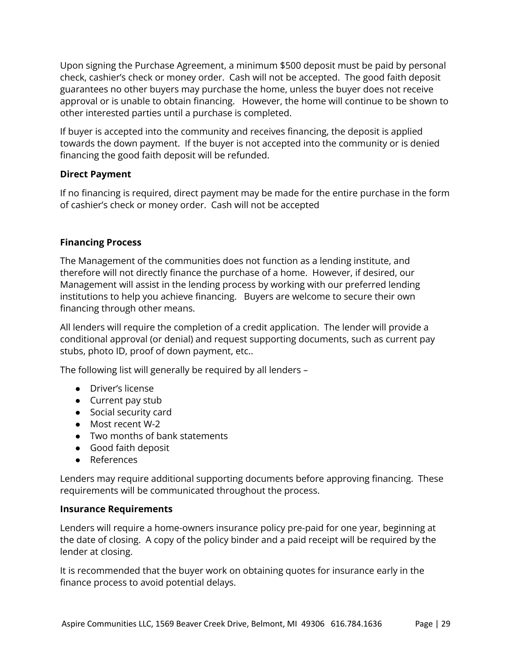Upon signing the Purchase Agreement, a minimum \$500 deposit must be paid by personal check, cashier's check or money order. Cash will not be accepted. The good faith deposit guarantees no other buyers may purchase the home, unless the buyer does not receive approval or is unable to obtain financing. However, the home will continue to be shown to other interested parties until a purchase is completed.

If buyer is accepted into the community and receives financing, the deposit is applied towards the down payment. If the buyer is not accepted into the community or is denied financing the good faith deposit will be refunded.

#### **Direct Payment**

If no financing is required, direct payment may be made for the entire purchase in the form of cashier's check or money order. Cash will not be accepted

#### **Financing Process**

The Management of the communities does not function as a lending institute, and therefore will not directly finance the purchase of a home. However, if desired, our Management will assist in the lending process by working with our preferred lending institutions to help you achieve financing. Buyers are welcome to secure their own financing through other means.

All lenders will require the completion of a credit application. The lender will provide a conditional approval (or denial) and request supporting documents, such as current pay stubs, photo ID, proof of down payment, etc..

The following list will generally be required by all lenders –

- Driver's license
- Current pay stub
- Social security card
- Most recent W-2
- Two months of bank statements
- Good faith deposit
- References

Lenders may require additional supporting documents before approving financing. These requirements will be communicated throughout the process.

#### **Insurance Requirements**

Lenders will require a home-owners insurance policy pre-paid for one year, beginning at the date of closing. A copy of the policy binder and a paid receipt will be required by the lender at closing.

It is recommended that the buyer work on obtaining quotes for insurance early in the finance process to avoid potential delays.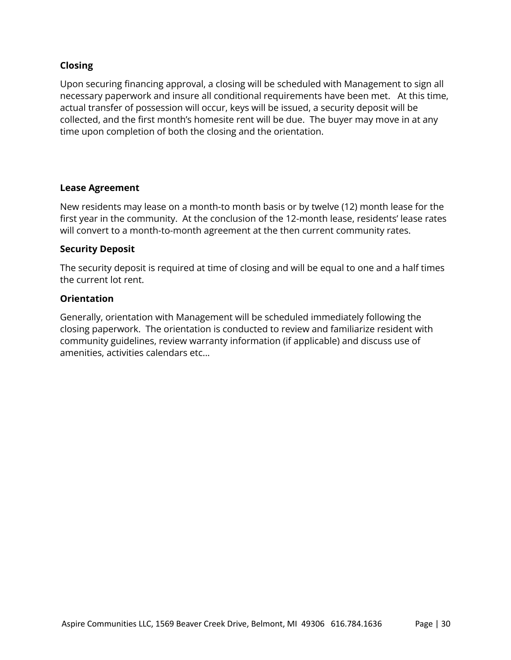#### **Closing**

Upon securing financing approval, a closing will be scheduled with Management to sign all necessary paperwork and insure all conditional requirements have been met. At this time, actual transfer of possession will occur, keys will be issued, a security deposit will be collected, and the first month's homesite rent will be due. The buyer may move in at any time upon completion of both the closing and the orientation.

#### **Lease Agreement**

New residents may lease on a month-to month basis or by twelve (12) month lease for the first year in the community. At the conclusion of the 12-month lease, residents' lease rates will convert to a month-to-month agreement at the then current community rates.

#### **Security Deposit**

The security deposit is required at time of closing and will be equal to one and a half times the current lot rent.

#### **Orientation**

Generally, orientation with Management will be scheduled immediately following the closing paperwork. The orientation is conducted to review and familiarize resident with community guidelines, review warranty information (if applicable) and discuss use of amenities, activities calendars etc...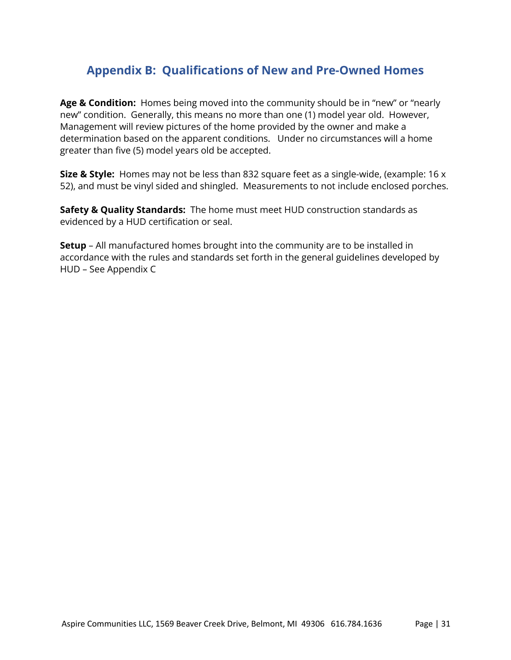# <span id="page-30-0"></span>**Appendix B: Qualifications of New and Pre-Owned Homes**

**Age & Condition:** Homes being moved into the community should be in "new" or "nearly new" condition. Generally, this means no more than one (1) model year old. However, Management will review pictures of the home provided by the owner and make a determination based on the apparent conditions. Under no circumstances will a home greater than five (5) model years old be accepted.

**Size & Style:** Homes may not be less than 832 square feet as a single-wide, (example: 16 x 52), and must be vinyl sided and shingled. Measurements to not include enclosed porches.

**Safety & Quality Standards:** The home must meet HUD construction standards as evidenced by a HUD certification or seal.

**Setup** – All manufactured homes brought into the community are to be installed in accordance with the rules and standards set forth in the general guidelines developed by HUD – See Appendix C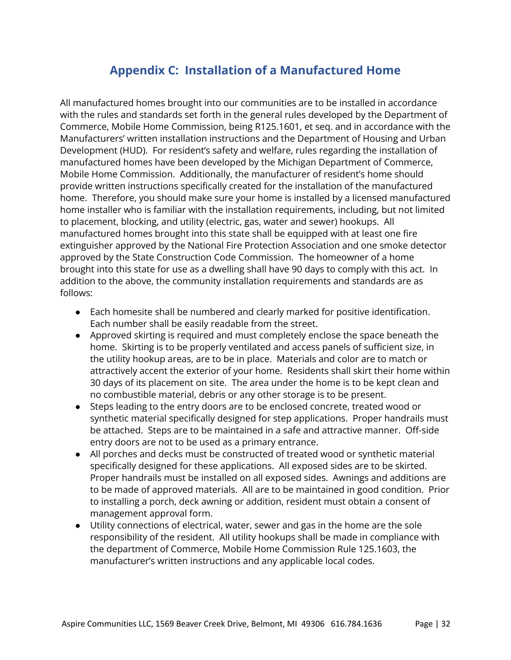# **Appendix C: Installation of a Manufactured Home**

<span id="page-31-0"></span>All manufactured homes brought into our communities are to be installed in accordance with the rules and standards set forth in the general rules developed by the Department of Commerce, Mobile Home Commission, being R125.1601, et seq. and in accordance with the Manufacturers' written installation instructions and the Department of Housing and Urban Development (HUD). For resident's safety and welfare, rules regarding the installation of manufactured homes have been developed by the Michigan Department of Commerce, Mobile Home Commission. Additionally, the manufacturer of resident's home should provide written instructions specifically created for the installation of the manufactured home. Therefore, you should make sure your home is installed by a licensed manufactured home installer who is familiar with the installation requirements, including, but not limited to placement, blocking, and utility (electric, gas, water and sewer) hookups. All manufactured homes brought into this state shall be equipped with at least one fire extinguisher approved by the National Fire Protection Association and one smoke detector approved by the State Construction Code Commission. The homeowner of a home brought into this state for use as a dwelling shall have 90 days to comply with this act. In addition to the above, the community installation requirements and standards are as follows:

- Each homesite shall be numbered and clearly marked for positive identification. Each number shall be easily readable from the street.
- Approved skirting is required and must completely enclose the space beneath the home. Skirting is to be properly ventilated and access panels of sufficient size, in the utility hookup areas, are to be in place. Materials and color are to match or attractively accent the exterior of your home. Residents shall skirt their home within 30 days of its placement on site. The area under the home is to be kept clean and no combustible material, debris or any other storage is to be present.
- Steps leading to the entry doors are to be enclosed concrete, treated wood or synthetic material specifically designed for step applications. Proper handrails must be attached. Steps are to be maintained in a safe and attractive manner. Off-side entry doors are not to be used as a primary entrance.
- All porches and decks must be constructed of treated wood or synthetic material specifically designed for these applications. All exposed sides are to be skirted. Proper handrails must be installed on all exposed sides. Awnings and additions are to be made of approved materials. All are to be maintained in good condition. Prior to installing a porch, deck awning or addition, resident must obtain a consent of management approval form.
- Utility connections of electrical, water, sewer and gas in the home are the sole responsibility of the resident. All utility hookups shall be made in compliance with the department of Commerce, Mobile Home Commission Rule 125.1603, the manufacturer's written instructions and any applicable local codes.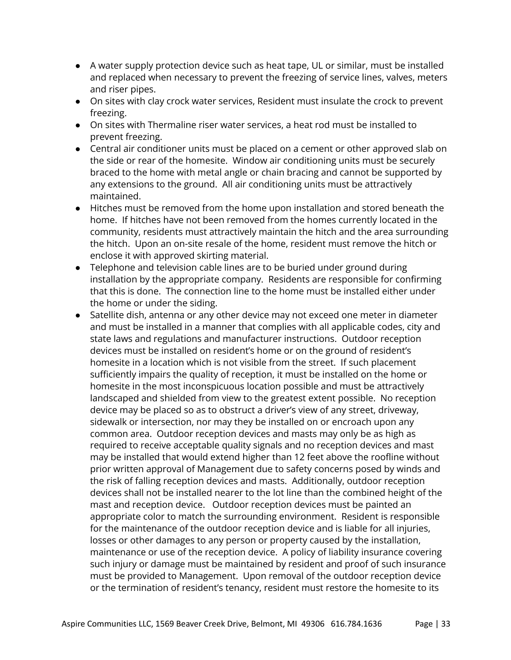- A water supply protection device such as heat tape, UL or similar, must be installed and replaced when necessary to prevent the freezing of service lines, valves, meters and riser pipes.
- On sites with clay crock water services, Resident must insulate the crock to prevent freezing.
- On sites with Thermaline riser water services, a heat rod must be installed to prevent freezing.
- Central air conditioner units must be placed on a cement or other approved slab on the side or rear of the homesite. Window air conditioning units must be securely braced to the home with metal angle or chain bracing and cannot be supported by any extensions to the ground. All air conditioning units must be attractively maintained.
- Hitches must be removed from the home upon installation and stored beneath the home. If hitches have not been removed from the homes currently located in the community, residents must attractively maintain the hitch and the area surrounding the hitch. Upon an on-site resale of the home, resident must remove the hitch or enclose it with approved skirting material.
- Telephone and television cable lines are to be buried under ground during installation by the appropriate company. Residents are responsible for confirming that this is done. The connection line to the home must be installed either under the home or under the siding.
- Satellite dish, antenna or any other device may not exceed one meter in diameter and must be installed in a manner that complies with all applicable codes, city and state laws and regulations and manufacturer instructions. Outdoor reception devices must be installed on resident's home or on the ground of resident's homesite in a location which is not visible from the street. If such placement sufficiently impairs the quality of reception, it must be installed on the home or homesite in the most inconspicuous location possible and must be attractively landscaped and shielded from view to the greatest extent possible. No reception device may be placed so as to obstruct a driver's view of any street, driveway, sidewalk or intersection, nor may they be installed on or encroach upon any common area. Outdoor reception devices and masts may only be as high as required to receive acceptable quality signals and no reception devices and mast may be installed that would extend higher than 12 feet above the roofline without prior written approval of Management due to safety concerns posed by winds and the risk of falling reception devices and masts. Additionally, outdoor reception devices shall not be installed nearer to the lot line than the combined height of the mast and reception device. Outdoor reception devices must be painted an appropriate color to match the surrounding environment. Resident is responsible for the maintenance of the outdoor reception device and is liable for all injuries, losses or other damages to any person or property caused by the installation, maintenance or use of the reception device. A policy of liability insurance covering such injury or damage must be maintained by resident and proof of such insurance must be provided to Management. Upon removal of the outdoor reception device or the termination of resident's tenancy, resident must restore the homesite to its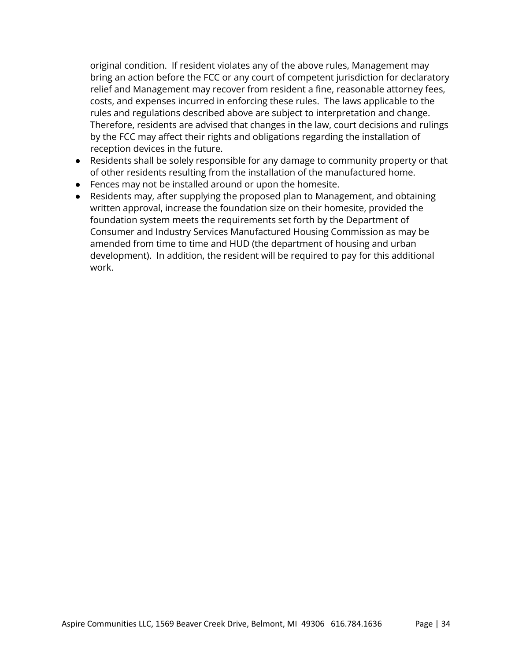original condition. If resident violates any of the above rules, Management may bring an action before the FCC or any court of competent jurisdiction for declaratory relief and Management may recover from resident a fine, reasonable attorney fees, costs, and expenses incurred in enforcing these rules. The laws applicable to the rules and regulations described above are subject to interpretation and change. Therefore, residents are advised that changes in the law, court decisions and rulings by the FCC may affect their rights and obligations regarding the installation of reception devices in the future.

- Residents shall be solely responsible for any damage to community property or that of other residents resulting from the installation of the manufactured home.
- Fences may not be installed around or upon the homesite.
- Residents may, after supplying the proposed plan to Management, and obtaining written approval, increase the foundation size on their homesite, provided the foundation system meets the requirements set forth by the Department of Consumer and Industry Services Manufactured Housing Commission as may be amended from time to time and HUD (the department of housing and urban development). In addition, the resident will be required to pay for this additional work.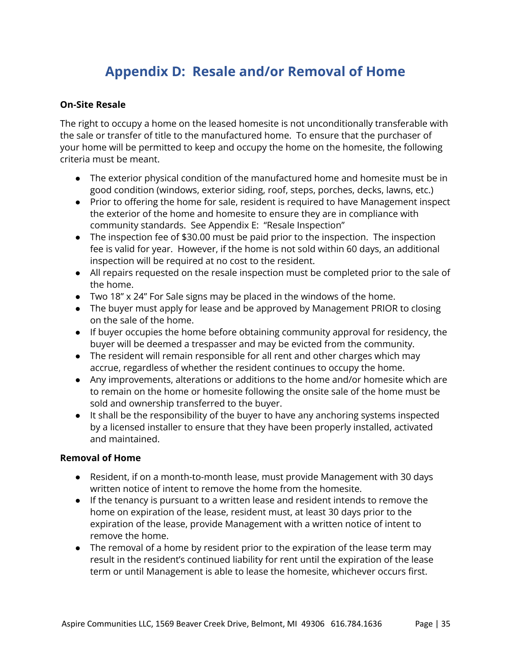# **Appendix D: Resale and/or Removal of Home**

#### <span id="page-34-0"></span>**On-Site Resale**

The right to occupy a home on the leased homesite is not unconditionally transferable with the sale or transfer of title to the manufactured home. To ensure that the purchaser of your home will be permitted to keep and occupy the home on the homesite, the following criteria must be meant.

- **●** The exterior physical condition of the manufactured home and homesite must be in good condition (windows, exterior siding, roof, steps, porches, decks, lawns, etc.)
- **●** Prior to offering the home for sale, resident is required to have Management inspect the exterior of the home and homesite to ensure they are in compliance with community standards. See Appendix E: "Resale Inspection"
- **●** The inspection fee of \$30.00 must be paid prior to the inspection. The inspection fee is valid for year. However, if the home is not sold within 60 days, an additional inspection will be required at no cost to the resident.
- **●** All repairs requested on the resale inspection must be completed prior to the sale of the home.
- **●** Two 18" x 24" For Sale signs may be placed in the windows of the home.
- **●** The buyer must apply for lease and be approved by Management PRIOR to closing on the sale of the home.
- **●** If buyer occupies the home before obtaining community approval for residency, the buyer will be deemed a trespasser and may be evicted from the community.
- **●** The resident will remain responsible for all rent and other charges which may accrue, regardless of whether the resident continues to occupy the home.
- **●** Any improvements, alterations or additions to the home and/or homesite which are to remain on the home or homesite following the onsite sale of the home must be sold and ownership transferred to the buyer.
- **●** It shall be the responsibility of the buyer to have any anchoring systems inspected by a licensed installer to ensure that they have been properly installed, activated and maintained.

#### **Removal of Home**

- Resident, if on a month-to-month lease, must provide Management with 30 days written notice of intent to remove the home from the homesite.
- If the tenancy is pursuant to a written lease and resident intends to remove the home on expiration of the lease, resident must, at least 30 days prior to the expiration of the lease, provide Management with a written notice of intent to remove the home.
- The removal of a home by resident prior to the expiration of the lease term may result in the resident's continued liability for rent until the expiration of the lease term or until Management is able to lease the homesite, whichever occurs first.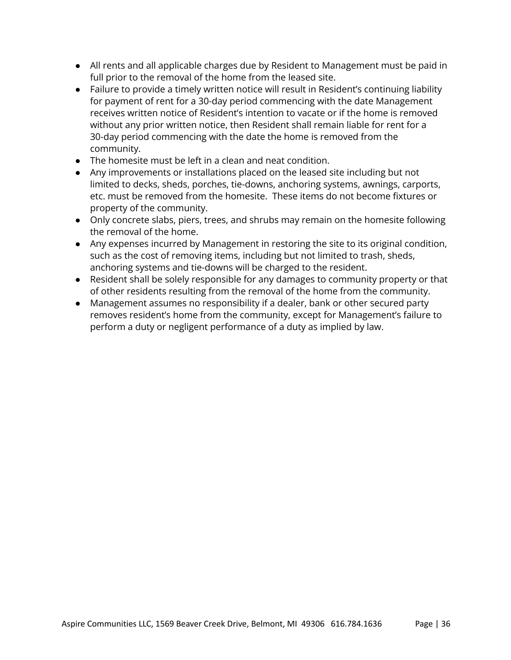- All rents and all applicable charges due by Resident to Management must be paid in full prior to the removal of the home from the leased site.
- Failure to provide a timely written notice will result in Resident's continuing liability for payment of rent for a 30-day period commencing with the date Management receives written notice of Resident's intention to vacate or if the home is removed without any prior written notice, then Resident shall remain liable for rent for a 30-day period commencing with the date the home is removed from the community.
- The homesite must be left in a clean and neat condition.
- Any improvements or installations placed on the leased site including but not limited to decks, sheds, porches, tie-downs, anchoring systems, awnings, carports, etc. must be removed from the homesite. These items do not become fixtures or property of the community.
- Only concrete slabs, piers, trees, and shrubs may remain on the homesite following the removal of the home.
- Any expenses incurred by Management in restoring the site to its original condition, such as the cost of removing items, including but not limited to trash, sheds, anchoring systems and tie-downs will be charged to the resident.
- Resident shall be solely responsible for any damages to community property or that of other residents resulting from the removal of the home from the community.
- Management assumes no responsibility if a dealer, bank or other secured party removes resident's home from the community, except for Management's failure to perform a duty or negligent performance of a duty as implied by law.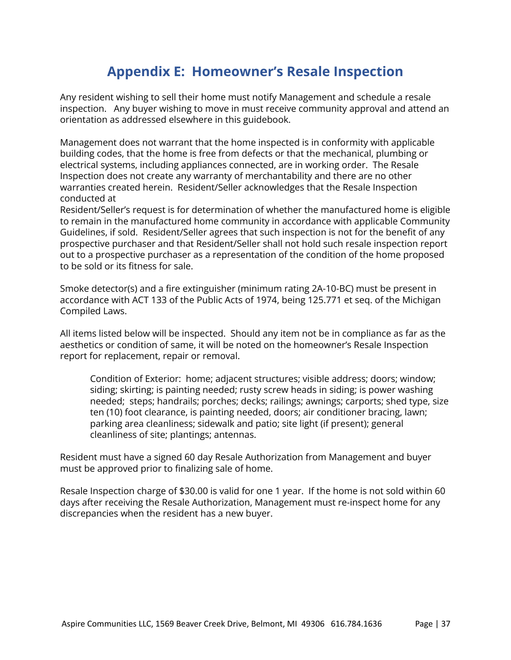# **Appendix E: Homeowner's Resale Inspection**

<span id="page-36-0"></span>Any resident wishing to sell their home must notify Management and schedule a resale inspection. Any buyer wishing to move in must receive community approval and attend an orientation as addressed elsewhere in this guidebook.

Management does not warrant that the home inspected is in conformity with applicable building codes, that the home is free from defects or that the mechanical, plumbing or electrical systems, including appliances connected, are in working order. The Resale Inspection does not create any warranty of merchantability and there are no other warranties created herein. Resident/Seller acknowledges that the Resale Inspection conducted at

Resident/Seller's request is for determination of whether the manufactured home is eligible to remain in the manufactured home community in accordance with applicable Community Guidelines, if sold. Resident/Seller agrees that such inspection is not for the benefit of any prospective purchaser and that Resident/Seller shall not hold such resale inspection report out to a prospective purchaser as a representation of the condition of the home proposed to be sold or its fitness for sale.

Smoke detector(s) and a fire extinguisher (minimum rating 2A-10-BC) must be present in accordance with ACT 133 of the Public Acts of 1974, being 125.771 et seq. of the Michigan Compiled Laws.

All items listed below will be inspected. Should any item not be in compliance as far as the aesthetics or condition of same, it will be noted on the homeowner's Resale Inspection report for replacement, repair or removal.

Condition of Exterior: home; adjacent structures; visible address; doors; window; siding; skirting; is painting needed; rusty screw heads in siding; is power washing needed; steps; handrails; porches; decks; railings; awnings; carports; shed type, size ten (10) foot clearance, is painting needed, doors; air conditioner bracing, lawn; parking area cleanliness; sidewalk and patio; site light (if present); general cleanliness of site; plantings; antennas.

Resident must have a signed 60 day Resale Authorization from Management and buyer must be approved prior to finalizing sale of home.

Resale Inspection charge of \$30.00 is valid for one 1 year. If the home is not sold within 60 days after receiving the Resale Authorization, Management must re-inspect home for any discrepancies when the resident has a new buyer.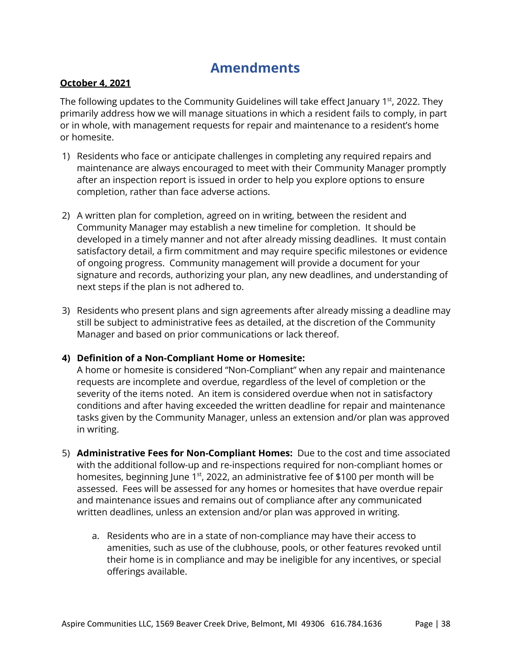# **Amendments**

#### <span id="page-37-0"></span>**October 4, 2021**

The following updates to the Community Guidelines will take effect January 1st, 2022. They primarily address how we will manage situations in which a resident fails to comply, in part or in whole, with management requests for repair and maintenance to a resident's home or homesite.

- 1) Residents who face or anticipate challenges in completing any required repairs and maintenance are always encouraged to meet with their Community Manager promptly after an inspection report is issued in order to help you explore options to ensure completion, rather than face adverse actions.
- 2) A written plan for completion, agreed on in writing, between the resident and Community Manager may establish a new timeline for completion. It should be developed in a timely manner and not after already missing deadlines. It must contain satisfactory detail, a firm commitment and may require specific milestones or evidence of ongoing progress. Community management will provide a document for your signature and records, authorizing your plan, any new deadlines, and understanding of next steps if the plan is not adhered to.
- 3) Residents who present plans and sign agreements after already missing a deadline may still be subject to administrative fees as detailed, at the discretion of the Community Manager and based on prior communications or lack thereof.

#### **4) Definition of a Non-Compliant Home or Homesite:**

A home or homesite is considered "Non-Compliant" when any repair and maintenance requests are incomplete and overdue, regardless of the level of completion or the severity of the items noted. An item is considered overdue when not in satisfactory conditions and after having exceeded the written deadline for repair and maintenance tasks given by the Community Manager, unless an extension and/or plan was approved in writing.

- 5) **Administrative Fees for Non-Compliant Homes:** Due to the cost and time associated with the additional follow-up and re-inspections required for non-compliant homes or homesites, beginning June 1<sup>st</sup>, 2022, an administrative fee of \$100 per month will be assessed. Fees will be assessed for any homes or homesites that have overdue repair and maintenance issues and remains out of compliance after any communicated written deadlines, unless an extension and/or plan was approved in writing.
	- a. Residents who are in a state of non-compliance may have their access to amenities, such as use of the clubhouse, pools, or other features revoked until their home is in compliance and may be ineligible for any incentives, or special offerings available.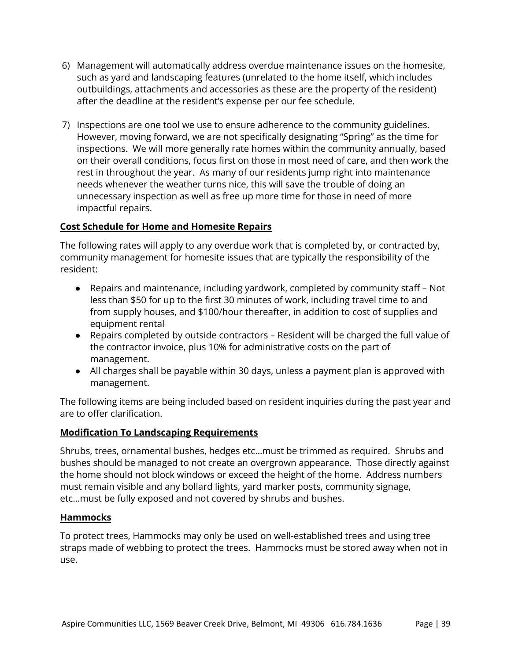- 6) Management will automatically address overdue maintenance issues on the homesite, such as yard and landscaping features (unrelated to the home itself, which includes outbuildings, attachments and accessories as these are the property of the resident) after the deadline at the resident's expense per our fee schedule.
- 7) Inspections are one tool we use to ensure adherence to the community guidelines. However, moving forward, we are not specifically designating "Spring" as the time for inspections. We will more generally rate homes within the community annually, based on their overall conditions, focus first on those in most need of care, and then work the rest in throughout the year. As many of our residents jump right into maintenance needs whenever the weather turns nice, this will save the trouble of doing an unnecessary inspection as well as free up more time for those in need of more impactful repairs.

#### **Cost Schedule for Home and Homesite Repairs**

The following rates will apply to any overdue work that is completed by, or contracted by, community management for homesite issues that are typically the responsibility of the resident:

- Repairs and maintenance, including yardwork, completed by community staff Not less than \$50 for up to the first 30 minutes of work, including travel time to and from supply houses, and \$100/hour thereafter, in addition to cost of supplies and equipment rental
- Repairs completed by outside contractors Resident will be charged the full value of the contractor invoice, plus 10% for administrative costs on the part of management.
- All charges shall be payable within 30 days, unless a payment plan is approved with management.

The following items are being included based on resident inquiries during the past year and are to offer clarification.

#### **Modification To Landscaping Requirements**

Shrubs, trees, ornamental bushes, hedges etc…must be trimmed as required. Shrubs and bushes should be managed to not create an overgrown appearance. Those directly against the home should not block windows or exceed the height of the home. Address numbers must remain visible and any bollard lights, yard marker posts, community signage, etc…must be fully exposed and not covered by shrubs and bushes.

#### **Hammocks**

To protect trees, Hammocks may only be used on well-established trees and using tree straps made of webbing to protect the trees. Hammocks must be stored away when not in use.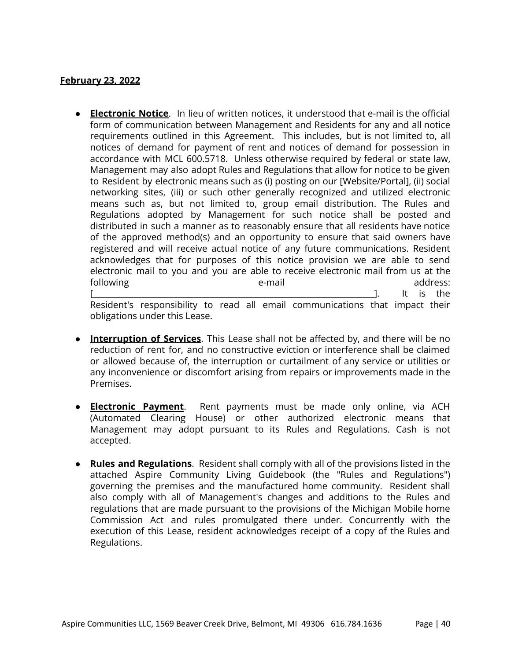#### **February 23, 2022**

● **Electronic Notice**. In lieu of written notices, it understood that e-mail is the official form of communication between Management and Residents for any and all notice requirements outlined in this Agreement. This includes, but is not limited to, all notices of demand for payment of rent and notices of demand for possession in accordance with MCL 600.5718. Unless otherwise required by federal or state law, Management may also adopt Rules and Regulations that allow for notice to be given to Resident by electronic means such as (i) posting on our [Website/Portal], (ii) social networking sites, (iii) or such other generally recognized and utilized electronic means such as, but not limited to, group email distribution. The Rules and Regulations adopted by Management for such notice shall be posted and distributed in such a manner as to reasonably ensure that all residents have notice of the approved method(s) and an opportunity to ensure that said owners have registered and will receive actual notice of any future communications. Resident acknowledges that for purposes of this notice provision we are able to send electronic mail to you and you are able to receive electronic mail from us at the following resources and the e-mail and the control of the control of the control of the control of the control o  $1.$  It is the Resident's responsibility to read all email communications that impact their

obligations under this Lease.

- **Interruption of Services**. This Lease shall not be affected by, and there will be no reduction of rent for, and no constructive eviction or interference shall be claimed or allowed because of, the interruption or curtailment of any service or utilities or any inconvenience or discomfort arising from repairs or improvements made in the Premises.
- **Electronic Payment**. Rent payments must be made only online, via ACH (Automated Clearing House) or other authorized electronic means that Management may adopt pursuant to its Rules and Regulations. Cash is not accepted.
- **Rules and Regulations**. Resident shall comply with all of the provisions listed in the attached Aspire Community Living Guidebook (the "Rules and Regulations") governing the premises and the manufactured home community. Resident shall also comply with all of Management's changes and additions to the Rules and regulations that are made pursuant to the provisions of the Michigan Mobile home Commission Act and rules promulgated there under. Concurrently with the execution of this Lease, resident acknowledges receipt of a copy of the Rules and Regulations.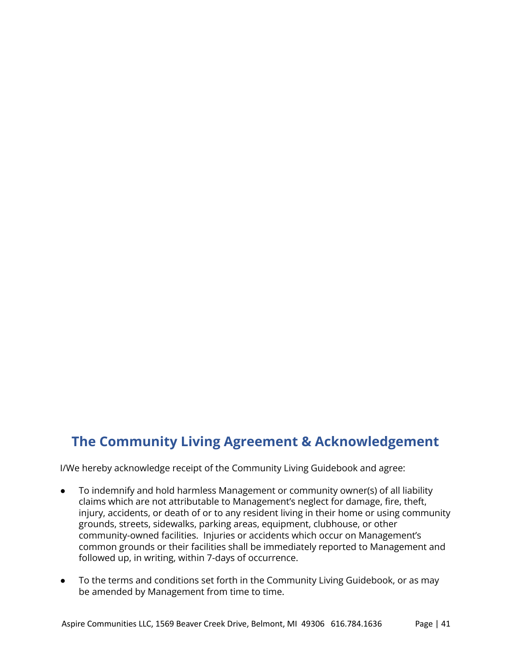# <span id="page-40-0"></span>**The Community Living Agreement & Acknowledgement**

I/We hereby acknowledge receipt of the Community Living Guidebook and agree:

- To indemnify and hold harmless Management or community owner(s) of all liability claims which are not attributable to Management's neglect for damage, fire, theft, injury, accidents, or death of or to any resident living in their home or using community grounds, streets, sidewalks, parking areas, equipment, clubhouse, or other community-owned facilities. Injuries or accidents which occur on Management's common grounds or their facilities shall be immediately reported to Management and followed up, in writing, within 7-days of occurrence.
- To the terms and conditions set forth in the Community Living Guidebook, or as may be amended by Management from time to time.